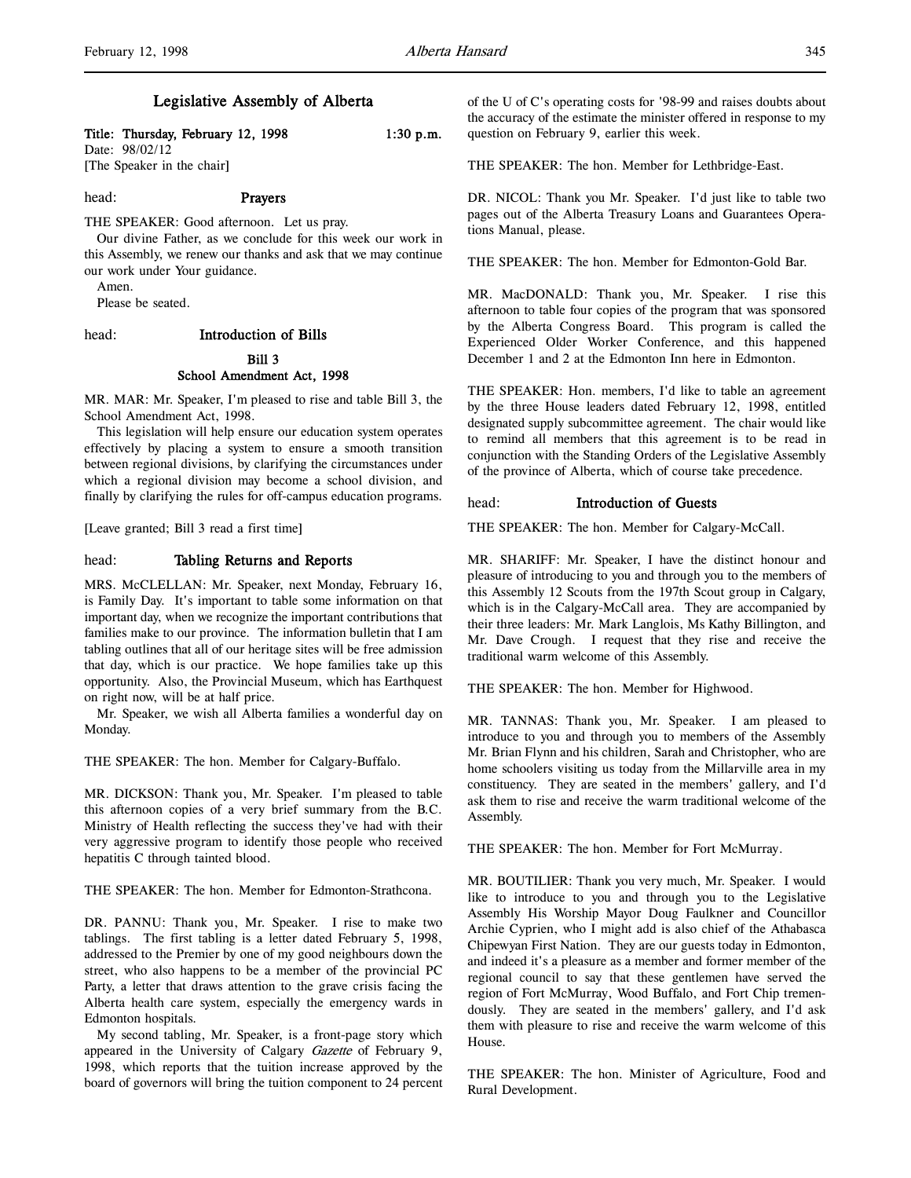# Legislative Assembly of Alberta

#### Title: Thursday, February 12, 1998 1:30 p.m.

Date: 98/02/12 [The Speaker in the chair]

# head: Prayers

THE SPEAKER: Good afternoon. Let us pray.

Our divine Father, as we conclude for this week our work in this Assembly, we renew our thanks and ask that we may continue our work under Your guidance.

Amen.

Please be seated.

#### head: Introduction of Bills

# Bill 3

# School Amendment Act, 1998

MR. MAR: Mr. Speaker, I'm pleased to rise and table Bill 3, the School Amendment Act, 1998.

This legislation will help ensure our education system operates effectively by placing a system to ensure a smooth transition between regional divisions, by clarifying the circumstances under which a regional division may become a school division, and finally by clarifying the rules for off-campus education programs.

[Leave granted; Bill 3 read a first time]

#### head: Tabling Returns and Reports

MRS. McCLELLAN: Mr. Speaker, next Monday, February 16, is Family Day. It's important to table some information on that important day, when we recognize the important contributions that families make to our province. The information bulletin that I am tabling outlines that all of our heritage sites will be free admission that day, which is our practice. We hope families take up this opportunity. Also, the Provincial Museum, which has Earthquest on right now, will be at half price.

Mr. Speaker, we wish all Alberta families a wonderful day on Monday.

THE SPEAKER: The hon. Member for Calgary-Buffalo.

MR. DICKSON: Thank you, Mr. Speaker. I'm pleased to table this afternoon copies of a very brief summary from the B.C. Ministry of Health reflecting the success they've had with their very aggressive program to identify those people who received hepatitis C through tainted blood.

THE SPEAKER: The hon. Member for Edmonton-Strathcona.

DR. PANNU: Thank you, Mr. Speaker. I rise to make two tablings. The first tabling is a letter dated February 5, 1998, addressed to the Premier by one of my good neighbours down the street, who also happens to be a member of the provincial PC Party, a letter that draws attention to the grave crisis facing the Alberta health care system, especially the emergency wards in Edmonton hospitals.

My second tabling, Mr. Speaker, is a front-page story which appeared in the University of Calgary Gazette of February 9, 1998, which reports that the tuition increase approved by the board of governors will bring the tuition component to 24 percent of the U of C's operating costs for '98-99 and raises doubts about the accuracy of the estimate the minister offered in response to my question on February 9, earlier this week.

THE SPEAKER: The hon. Member for Lethbridge-East.

DR. NICOL: Thank you Mr. Speaker. I'd just like to table two pages out of the Alberta Treasury Loans and Guarantees Operations Manual, please.

THE SPEAKER: The hon. Member for Edmonton-Gold Bar.

MR. MacDONALD: Thank you, Mr. Speaker. I rise this afternoon to table four copies of the program that was sponsored by the Alberta Congress Board. This program is called the Experienced Older Worker Conference, and this happened December 1 and 2 at the Edmonton Inn here in Edmonton.

THE SPEAKER: Hon. members, I'd like to table an agreement by the three House leaders dated February 12, 1998, entitled designated supply subcommittee agreement. The chair would like to remind all members that this agreement is to be read in conjunction with the Standing Orders of the Legislative Assembly of the province of Alberta, which of course take precedence.

#### head: Introduction of Guests

THE SPEAKER: The hon. Member for Calgary-McCall.

MR. SHARIFF: Mr. Speaker, I have the distinct honour and pleasure of introducing to you and through you to the members of this Assembly 12 Scouts from the 197th Scout group in Calgary, which is in the Calgary-McCall area. They are accompanied by their three leaders: Mr. Mark Langlois, Ms Kathy Billington, and Mr. Dave Crough. I request that they rise and receive the traditional warm welcome of this Assembly.

THE SPEAKER: The hon. Member for Highwood.

MR. TANNAS: Thank you, Mr. Speaker. I am pleased to introduce to you and through you to members of the Assembly Mr. Brian Flynn and his children, Sarah and Christopher, who are home schoolers visiting us today from the Millarville area in my constituency. They are seated in the members' gallery, and I'd ask them to rise and receive the warm traditional welcome of the Assembly.

THE SPEAKER: The hon. Member for Fort McMurray.

MR. BOUTILIER: Thank you very much, Mr. Speaker. I would like to introduce to you and through you to the Legislative Assembly His Worship Mayor Doug Faulkner and Councillor Archie Cyprien, who I might add is also chief of the Athabasca Chipewyan First Nation. They are our guests today in Edmonton, and indeed it's a pleasure as a member and former member of the regional council to say that these gentlemen have served the region of Fort McMurray, Wood Buffalo, and Fort Chip tremendously. They are seated in the members' gallery, and I'd ask them with pleasure to rise and receive the warm welcome of this House.

THE SPEAKER: The hon. Minister of Agriculture, Food and Rural Development.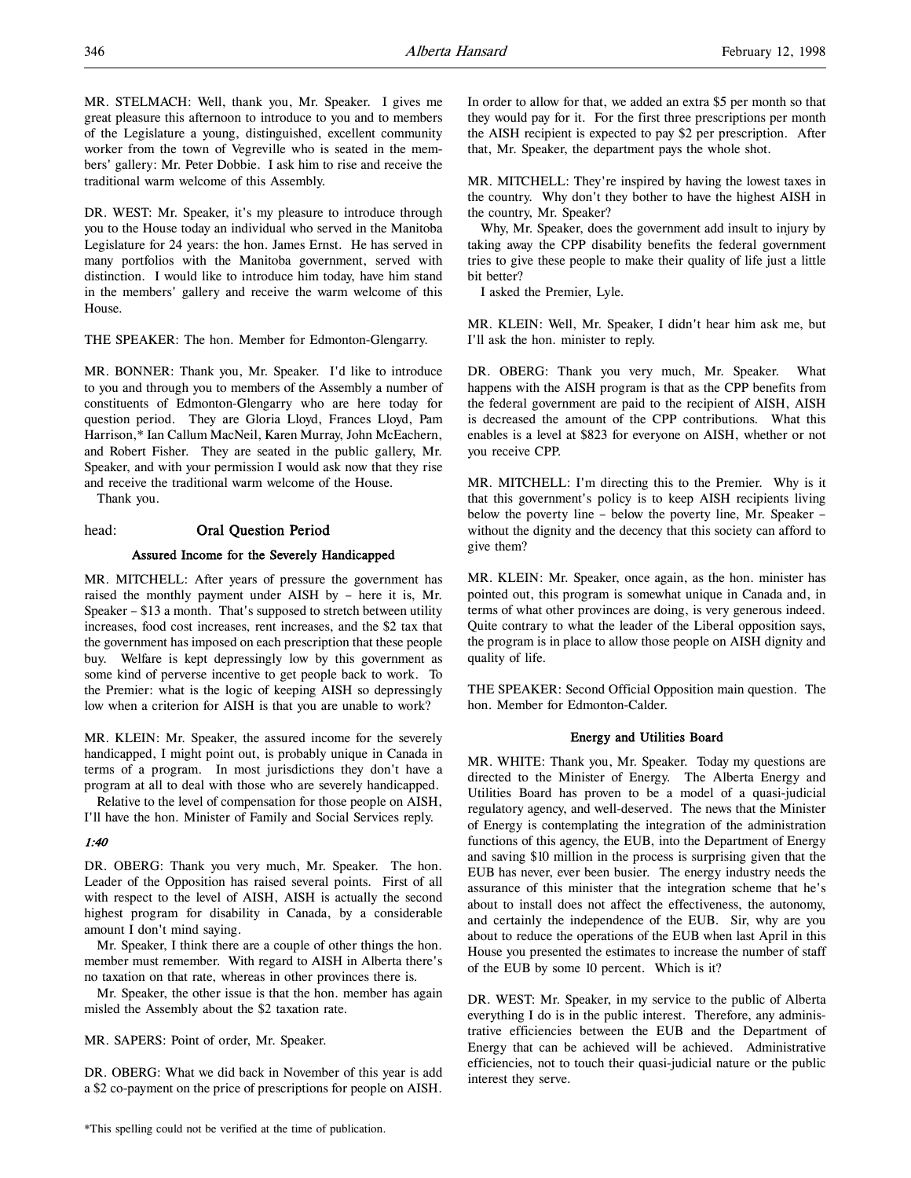MR. STELMACH: Well, thank you, Mr. Speaker. I gives me great pleasure this afternoon to introduce to you and to members of the Legislature a young, distinguished, excellent community worker from the town of Vegreville who is seated in the members' gallery: Mr. Peter Dobbie. I ask him to rise and receive the traditional warm welcome of this Assembly.

DR. WEST: Mr. Speaker, it's my pleasure to introduce through you to the House today an individual who served in the Manitoba Legislature for 24 years: the hon. James Ernst. He has served in many portfolios with the Manitoba government, served with distinction. I would like to introduce him today, have him stand in the members' gallery and receive the warm welcome of this House.

THE SPEAKER: The hon. Member for Edmonton-Glengarry.

MR. BONNER: Thank you, Mr. Speaker. I'd like to introduce to you and through you to members of the Assembly a number of constituents of Edmonton-Glengarry who are here today for question period. They are Gloria Lloyd, Frances Lloyd, Pam Harrison,\* Ian Callum MacNeil, Karen Murray, John McEachern, and Robert Fisher. They are seated in the public gallery, Mr. Speaker, and with your permission I would ask now that they rise and receive the traditional warm welcome of the House. Thank you.

# head: Oral Question Period

#### Assured Income for the Severely Handicapped

MR. MITCHELL: After years of pressure the government has raised the monthly payment under AISH by – here it is, Mr. Speaker – \$13 a month. That's supposed to stretch between utility increases, food cost increases, rent increases, and the \$2 tax that the government has imposed on each prescription that these people buy. Welfare is kept depressingly low by this government as some kind of perverse incentive to get people back to work. To the Premier: what is the logic of keeping AISH so depressingly low when a criterion for AISH is that you are unable to work?

MR. KLEIN: Mr. Speaker, the assured income for the severely handicapped, I might point out, is probably unique in Canada in terms of a program. In most jurisdictions they don't have a program at all to deal with those who are severely handicapped.

Relative to the level of compensation for those people on AISH, I'll have the hon. Minister of Family and Social Services reply.

#### 1:40

DR. OBERG: Thank you very much, Mr. Speaker. The hon. Leader of the Opposition has raised several points. First of all with respect to the level of AISH, AISH is actually the second highest program for disability in Canada, by a considerable amount I don't mind saying.

Mr. Speaker, I think there are a couple of other things the hon. member must remember. With regard to AISH in Alberta there's no taxation on that rate, whereas in other provinces there is.

Mr. Speaker, the other issue is that the hon. member has again misled the Assembly about the \$2 taxation rate.

MR. SAPERS: Point of order, Mr. Speaker.

DR. OBERG: What we did back in November of this year is add a \$2 co-payment on the price of prescriptions for people on AISH.

In order to allow for that, we added an extra \$5 per month so that they would pay for it. For the first three prescriptions per month the AISH recipient is expected to pay \$2 per prescription. After that, Mr. Speaker, the department pays the whole shot.

MR. MITCHELL: They're inspired by having the lowest taxes in the country. Why don't they bother to have the highest AISH in the country, Mr. Speaker?

Why, Mr. Speaker, does the government add insult to injury by taking away the CPP disability benefits the federal government tries to give these people to make their quality of life just a little bit better?

I asked the Premier, Lyle.

MR. KLEIN: Well, Mr. Speaker, I didn't hear him ask me, but I'll ask the hon. minister to reply.

DR. OBERG: Thank you very much, Mr. Speaker. What happens with the AISH program is that as the CPP benefits from the federal government are paid to the recipient of AISH, AISH is decreased the amount of the CPP contributions. What this enables is a level at \$823 for everyone on AISH, whether or not you receive CPP.

MR. MITCHELL: I'm directing this to the Premier. Why is it that this government's policy is to keep AISH recipients living below the poverty line – below the poverty line, Mr. Speaker – without the dignity and the decency that this society can afford to give them?

MR. KLEIN: Mr. Speaker, once again, as the hon. minister has pointed out, this program is somewhat unique in Canada and, in terms of what other provinces are doing, is very generous indeed. Quite contrary to what the leader of the Liberal opposition says, the program is in place to allow those people on AISH dignity and quality of life.

THE SPEAKER: Second Official Opposition main question. The hon. Member for Edmonton-Calder.

#### Energy and Utilities Board

MR. WHITE: Thank you, Mr. Speaker. Today my questions are directed to the Minister of Energy. The Alberta Energy and Utilities Board has proven to be a model of a quasi-judicial regulatory agency, and well-deserved. The news that the Minister of Energy is contemplating the integration of the administration functions of this agency, the EUB, into the Department of Energy and saving \$10 million in the process is surprising given that the EUB has never, ever been busier. The energy industry needs the assurance of this minister that the integration scheme that he's about to install does not affect the effectiveness, the autonomy, and certainly the independence of the EUB. Sir, why are you about to reduce the operations of the EUB when last April in this House you presented the estimates to increase the number of staff of the EUB by some 10 percent. Which is it?

DR. WEST: Mr. Speaker, in my service to the public of Alberta everything I do is in the public interest. Therefore, any administrative efficiencies between the EUB and the Department of Energy that can be achieved will be achieved. Administrative efficiencies, not to touch their quasi-judicial nature or the public interest they serve.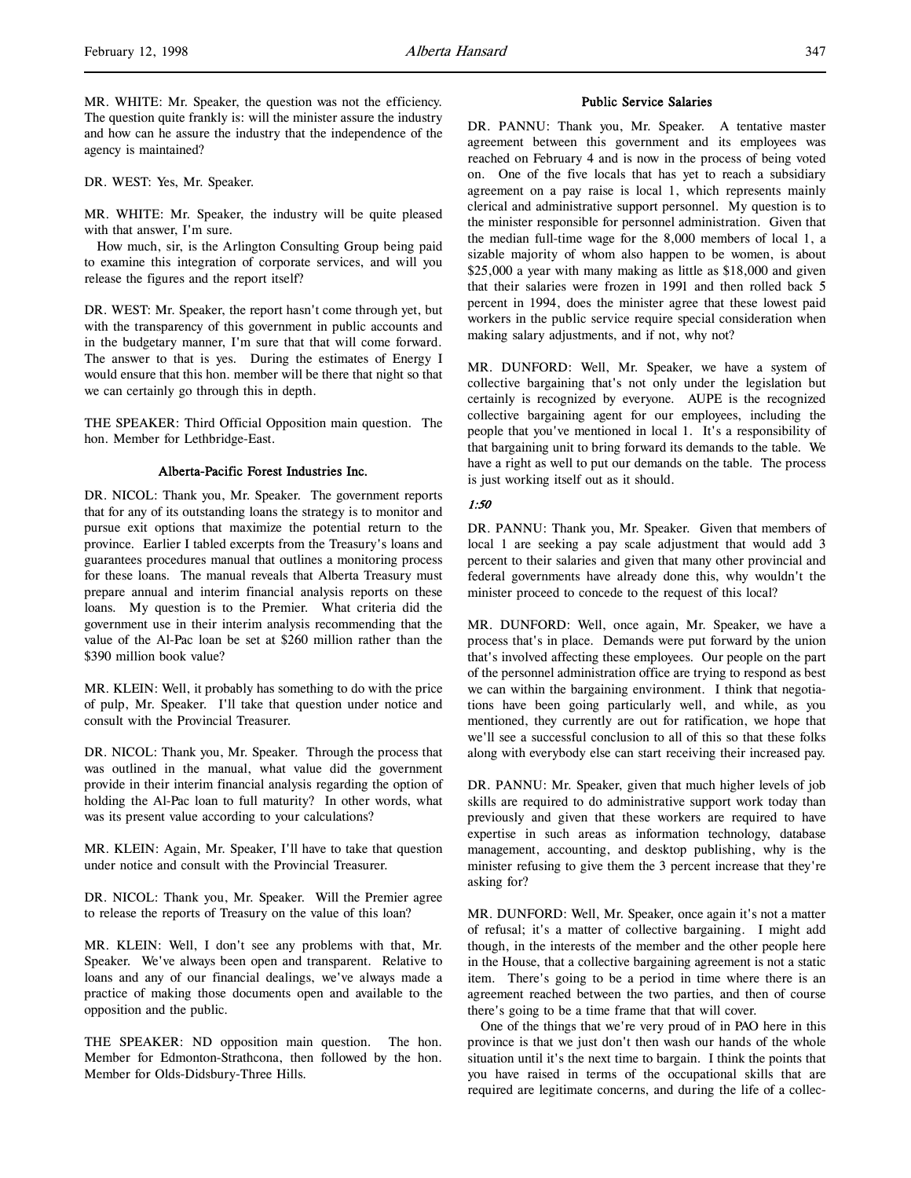MR. WHITE: Mr. Speaker, the question was not the efficiency. The question quite frankly is: will the minister assure the industry and how can he assure the industry that the independence of the agency is maintained?

DR. WEST: Yes, Mr. Speaker.

MR. WHITE: Mr. Speaker, the industry will be quite pleased with that answer, I'm sure.

How much, sir, is the Arlington Consulting Group being paid to examine this integration of corporate services, and will you release the figures and the report itself?

DR. WEST: Mr. Speaker, the report hasn't come through yet, but with the transparency of this government in public accounts and in the budgetary manner, I'm sure that that will come forward. The answer to that is yes. During the estimates of Energy I would ensure that this hon. member will be there that night so that we can certainly go through this in depth.

THE SPEAKER: Third Official Opposition main question. The hon. Member for Lethbridge-East.

#### Alberta-Pacific Forest Industries Inc.

DR. NICOL: Thank you, Mr. Speaker. The government reports that for any of its outstanding loans the strategy is to monitor and pursue exit options that maximize the potential return to the province. Earlier I tabled excerpts from the Treasury's loans and guarantees procedures manual that outlines a monitoring process for these loans. The manual reveals that Alberta Treasury must prepare annual and interim financial analysis reports on these loans. My question is to the Premier. What criteria did the government use in their interim analysis recommending that the value of the Al-Pac loan be set at \$260 million rather than the \$390 million book value?

MR. KLEIN: Well, it probably has something to do with the price of pulp, Mr. Speaker. I'll take that question under notice and consult with the Provincial Treasurer.

DR. NICOL: Thank you, Mr. Speaker. Through the process that was outlined in the manual, what value did the government provide in their interim financial analysis regarding the option of holding the Al-Pac loan to full maturity? In other words, what was its present value according to your calculations?

MR. KLEIN: Again, Mr. Speaker, I'll have to take that question under notice and consult with the Provincial Treasurer.

DR. NICOL: Thank you, Mr. Speaker. Will the Premier agree to release the reports of Treasury on the value of this loan?

MR. KLEIN: Well, I don't see any problems with that, Mr. Speaker. We've always been open and transparent. Relative to loans and any of our financial dealings, we've always made a practice of making those documents open and available to the opposition and the public.

THE SPEAKER: ND opposition main question. The hon. Member for Edmonton-Strathcona, then followed by the hon. Member for Olds-Didsbury-Three Hills.

#### Public Service Salaries

DR. PANNU: Thank you, Mr. Speaker. A tentative master agreement between this government and its employees was reached on February 4 and is now in the process of being voted on. One of the five locals that has yet to reach a subsidiary agreement on a pay raise is local 1, which represents mainly clerical and administrative support personnel. My question is to the minister responsible for personnel administration. Given that the median full-time wage for the 8,000 members of local 1, a sizable majority of whom also happen to be women, is about \$25,000 a year with many making as little as \$18,000 and given that their salaries were frozen in 1991 and then rolled back 5 percent in 1994, does the minister agree that these lowest paid workers in the public service require special consideration when making salary adjustments, and if not, why not?

MR. DUNFORD: Well, Mr. Speaker, we have a system of collective bargaining that's not only under the legislation but certainly is recognized by everyone. AUPE is the recognized collective bargaining agent for our employees, including the people that you've mentioned in local 1. It's a responsibility of that bargaining unit to bring forward its demands to the table. We have a right as well to put our demands on the table. The process is just working itself out as it should.

# 1:50

DR. PANNU: Thank you, Mr. Speaker. Given that members of local 1 are seeking a pay scale adjustment that would add 3 percent to their salaries and given that many other provincial and federal governments have already done this, why wouldn't the minister proceed to concede to the request of this local?

MR. DUNFORD: Well, once again, Mr. Speaker, we have a process that's in place. Demands were put forward by the union that's involved affecting these employees. Our people on the part of the personnel administration office are trying to respond as best we can within the bargaining environment. I think that negotiations have been going particularly well, and while, as you mentioned, they currently are out for ratification, we hope that we'll see a successful conclusion to all of this so that these folks along with everybody else can start receiving their increased pay.

DR. PANNU: Mr. Speaker, given that much higher levels of job skills are required to do administrative support work today than previously and given that these workers are required to have expertise in such areas as information technology, database management, accounting, and desktop publishing, why is the minister refusing to give them the 3 percent increase that they're asking for?

MR. DUNFORD: Well, Mr. Speaker, once again it's not a matter of refusal; it's a matter of collective bargaining. I might add though, in the interests of the member and the other people here in the House, that a collective bargaining agreement is not a static item. There's going to be a period in time where there is an agreement reached between the two parties, and then of course there's going to be a time frame that that will cover.

One of the things that we're very proud of in PAO here in this province is that we just don't then wash our hands of the whole situation until it's the next time to bargain. I think the points that you have raised in terms of the occupational skills that are required are legitimate concerns, and during the life of a collec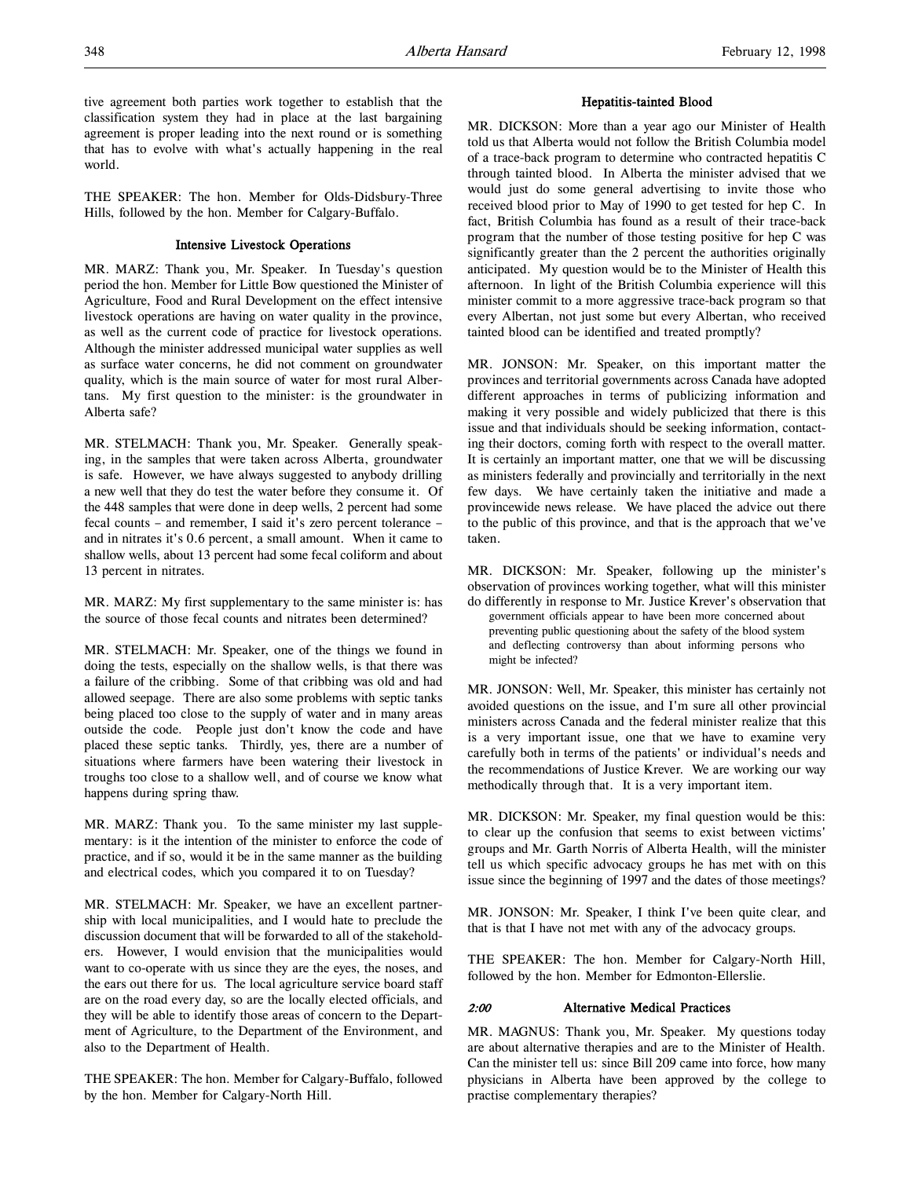tive agreement both parties work together to establish that the classification system they had in place at the last bargaining agreement is proper leading into the next round or is something that has to evolve with what's actually happening in the real world.

THE SPEAKER: The hon. Member for Olds-Didsbury-Three Hills, followed by the hon. Member for Calgary-Buffalo.

# Intensive Livestock Operations

MR. MARZ: Thank you, Mr. Speaker. In Tuesday's question period the hon. Member for Little Bow questioned the Minister of Agriculture, Food and Rural Development on the effect intensive livestock operations are having on water quality in the province, as well as the current code of practice for livestock operations. Although the minister addressed municipal water supplies as well as surface water concerns, he did not comment on groundwater quality, which is the main source of water for most rural Albertans. My first question to the minister: is the groundwater in Alberta safe?

MR. STELMACH: Thank you, Mr. Speaker. Generally speaking, in the samples that were taken across Alberta, groundwater is safe. However, we have always suggested to anybody drilling a new well that they do test the water before they consume it. Of the 448 samples that were done in deep wells, 2 percent had some fecal counts – and remember, I said it's zero percent tolerance – and in nitrates it's 0.6 percent, a small amount. When it came to shallow wells, about 13 percent had some fecal coliform and about 13 percent in nitrates.

MR. MARZ: My first supplementary to the same minister is: has the source of those fecal counts and nitrates been determined?

MR. STELMACH: Mr. Speaker, one of the things we found in doing the tests, especially on the shallow wells, is that there was a failure of the cribbing. Some of that cribbing was old and had allowed seepage. There are also some problems with septic tanks being placed too close to the supply of water and in many areas outside the code. People just don't know the code and have placed these septic tanks. Thirdly, yes, there are a number of situations where farmers have been watering their livestock in troughs too close to a shallow well, and of course we know what happens during spring thaw.

MR. MARZ: Thank you. To the same minister my last supplementary: is it the intention of the minister to enforce the code of practice, and if so, would it be in the same manner as the building and electrical codes, which you compared it to on Tuesday?

MR. STELMACH: Mr. Speaker, we have an excellent partnership with local municipalities, and I would hate to preclude the discussion document that will be forwarded to all of the stakeholders. However, I would envision that the municipalities would want to co-operate with us since they are the eyes, the noses, and the ears out there for us. The local agriculture service board staff are on the road every day, so are the locally elected officials, and they will be able to identify those areas of concern to the Department of Agriculture, to the Department of the Environment, and also to the Department of Health.

THE SPEAKER: The hon. Member for Calgary-Buffalo, followed by the hon. Member for Calgary-North Hill.

#### Hepatitis-tainted Blood

MR. DICKSON: More than a year ago our Minister of Health told us that Alberta would not follow the British Columbia model of a trace-back program to determine who contracted hepatitis C through tainted blood. In Alberta the minister advised that we would just do some general advertising to invite those who received blood prior to May of 1990 to get tested for hep C. In fact, British Columbia has found as a result of their trace-back program that the number of those testing positive for hep C was significantly greater than the 2 percent the authorities originally anticipated. My question would be to the Minister of Health this afternoon. In light of the British Columbia experience will this minister commit to a more aggressive trace-back program so that every Albertan, not just some but every Albertan, who received tainted blood can be identified and treated promptly?

MR. JONSON: Mr. Speaker, on this important matter the provinces and territorial governments across Canada have adopted different approaches in terms of publicizing information and making it very possible and widely publicized that there is this issue and that individuals should be seeking information, contacting their doctors, coming forth with respect to the overall matter. It is certainly an important matter, one that we will be discussing as ministers federally and provincially and territorially in the next few days. We have certainly taken the initiative and made a provincewide news release. We have placed the advice out there to the public of this province, and that is the approach that we've taken.

MR. DICKSON: Mr. Speaker, following up the minister's observation of provinces working together, what will this minister do differently in response to Mr. Justice Krever's observation that government officials appear to have been more concerned about preventing public questioning about the safety of the blood system and deflecting controversy than about informing persons who might be infected?

MR. JONSON: Well, Mr. Speaker, this minister has certainly not avoided questions on the issue, and I'm sure all other provincial ministers across Canada and the federal minister realize that this is a very important issue, one that we have to examine very carefully both in terms of the patients' or individual's needs and the recommendations of Justice Krever. We are working our way methodically through that. It is a very important item.

MR. DICKSON: Mr. Speaker, my final question would be this: to clear up the confusion that seems to exist between victims' groups and Mr. Garth Norris of Alberta Health, will the minister tell us which specific advocacy groups he has met with on this issue since the beginning of 1997 and the dates of those meetings?

MR. JONSON: Mr. Speaker, I think I've been quite clear, and that is that I have not met with any of the advocacy groups.

THE SPEAKER: The hon. Member for Calgary-North Hill, followed by the hon. Member for Edmonton-Ellerslie.

#### 2:00 Alternative Medical Practices

MR. MAGNUS: Thank you, Mr. Speaker. My questions today are about alternative therapies and are to the Minister of Health. Can the minister tell us: since Bill 209 came into force, how many physicians in Alberta have been approved by the college to practise complementary therapies?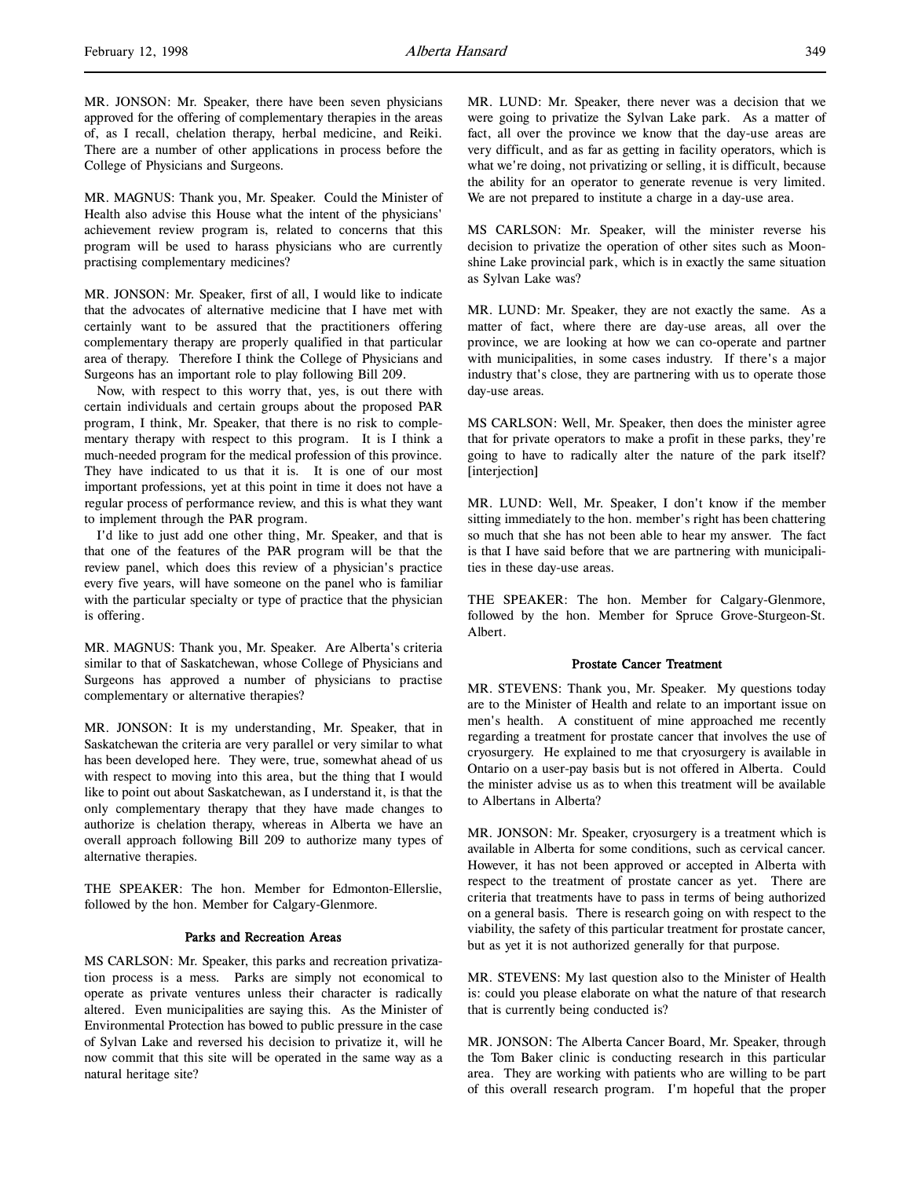MR. JONSON: Mr. Speaker, there have been seven physicians approved for the offering of complementary therapies in the areas of, as I recall, chelation therapy, herbal medicine, and Reiki. There are a number of other applications in process before the College of Physicians and Surgeons.

MR. MAGNUS: Thank you, Mr. Speaker. Could the Minister of Health also advise this House what the intent of the physicians' achievement review program is, related to concerns that this program will be used to harass physicians who are currently practising complementary medicines?

MR. JONSON: Mr. Speaker, first of all, I would like to indicate that the advocates of alternative medicine that I have met with certainly want to be assured that the practitioners offering complementary therapy are properly qualified in that particular area of therapy. Therefore I think the College of Physicians and Surgeons has an important role to play following Bill 209.

Now, with respect to this worry that, yes, is out there with certain individuals and certain groups about the proposed PAR program, I think, Mr. Speaker, that there is no risk to complementary therapy with respect to this program. It is I think a much-needed program for the medical profession of this province. They have indicated to us that it is. It is one of our most important professions, yet at this point in time it does not have a regular process of performance review, and this is what they want to implement through the PAR program.

I'd like to just add one other thing, Mr. Speaker, and that is that one of the features of the PAR program will be that the review panel, which does this review of a physician's practice every five years, will have someone on the panel who is familiar with the particular specialty or type of practice that the physician is offering.

MR. MAGNUS: Thank you, Mr. Speaker. Are Alberta's criteria similar to that of Saskatchewan, whose College of Physicians and Surgeons has approved a number of physicians to practise complementary or alternative therapies?

MR. JONSON: It is my understanding, Mr. Speaker, that in Saskatchewan the criteria are very parallel or very similar to what has been developed here. They were, true, somewhat ahead of us with respect to moving into this area, but the thing that I would like to point out about Saskatchewan, as I understand it, is that the only complementary therapy that they have made changes to authorize is chelation therapy, whereas in Alberta we have an overall approach following Bill 209 to authorize many types of alternative therapies.

THE SPEAKER: The hon. Member for Edmonton-Ellerslie, followed by the hon. Member for Calgary-Glenmore.

#### Parks and Recreation Areas

MS CARLSON: Mr. Speaker, this parks and recreation privatization process is a mess. Parks are simply not economical to operate as private ventures unless their character is radically altered. Even municipalities are saying this. As the Minister of Environmental Protection has bowed to public pressure in the case of Sylvan Lake and reversed his decision to privatize it, will he now commit that this site will be operated in the same way as a natural heritage site?

MR. LUND: Mr. Speaker, there never was a decision that we were going to privatize the Sylvan Lake park. As a matter of fact, all over the province we know that the day-use areas are very difficult, and as far as getting in facility operators, which is what we're doing, not privatizing or selling, it is difficult, because the ability for an operator to generate revenue is very limited. We are not prepared to institute a charge in a day-use area.

MS CARLSON: Mr. Speaker, will the minister reverse his decision to privatize the operation of other sites such as Moonshine Lake provincial park, which is in exactly the same situation as Sylvan Lake was?

MR. LUND: Mr. Speaker, they are not exactly the same. As a matter of fact, where there are day-use areas, all over the province, we are looking at how we can co-operate and partner with municipalities, in some cases industry. If there's a major industry that's close, they are partnering with us to operate those day-use areas.

MS CARLSON: Well, Mr. Speaker, then does the minister agree that for private operators to make a profit in these parks, they're going to have to radically alter the nature of the park itself? [interjection]

MR. LUND: Well, Mr. Speaker, I don't know if the member sitting immediately to the hon. member's right has been chattering so much that she has not been able to hear my answer. The fact is that I have said before that we are partnering with municipalities in these day-use areas.

THE SPEAKER: The hon. Member for Calgary-Glenmore, followed by the hon. Member for Spruce Grove-Sturgeon-St. Albert.

# Prostate Cancer Treatment

MR. STEVENS: Thank you, Mr. Speaker. My questions today are to the Minister of Health and relate to an important issue on men's health. A constituent of mine approached me recently regarding a treatment for prostate cancer that involves the use of cryosurgery. He explained to me that cryosurgery is available in Ontario on a user-pay basis but is not offered in Alberta. Could the minister advise us as to when this treatment will be available to Albertans in Alberta?

MR. JONSON: Mr. Speaker, cryosurgery is a treatment which is available in Alberta for some conditions, such as cervical cancer. However, it has not been approved or accepted in Alberta with respect to the treatment of prostate cancer as yet. There are criteria that treatments have to pass in terms of being authorized on a general basis. There is research going on with respect to the viability, the safety of this particular treatment for prostate cancer, but as yet it is not authorized generally for that purpose.

MR. STEVENS: My last question also to the Minister of Health is: could you please elaborate on what the nature of that research that is currently being conducted is?

MR. JONSON: The Alberta Cancer Board, Mr. Speaker, through the Tom Baker clinic is conducting research in this particular area. They are working with patients who are willing to be part of this overall research program. I'm hopeful that the proper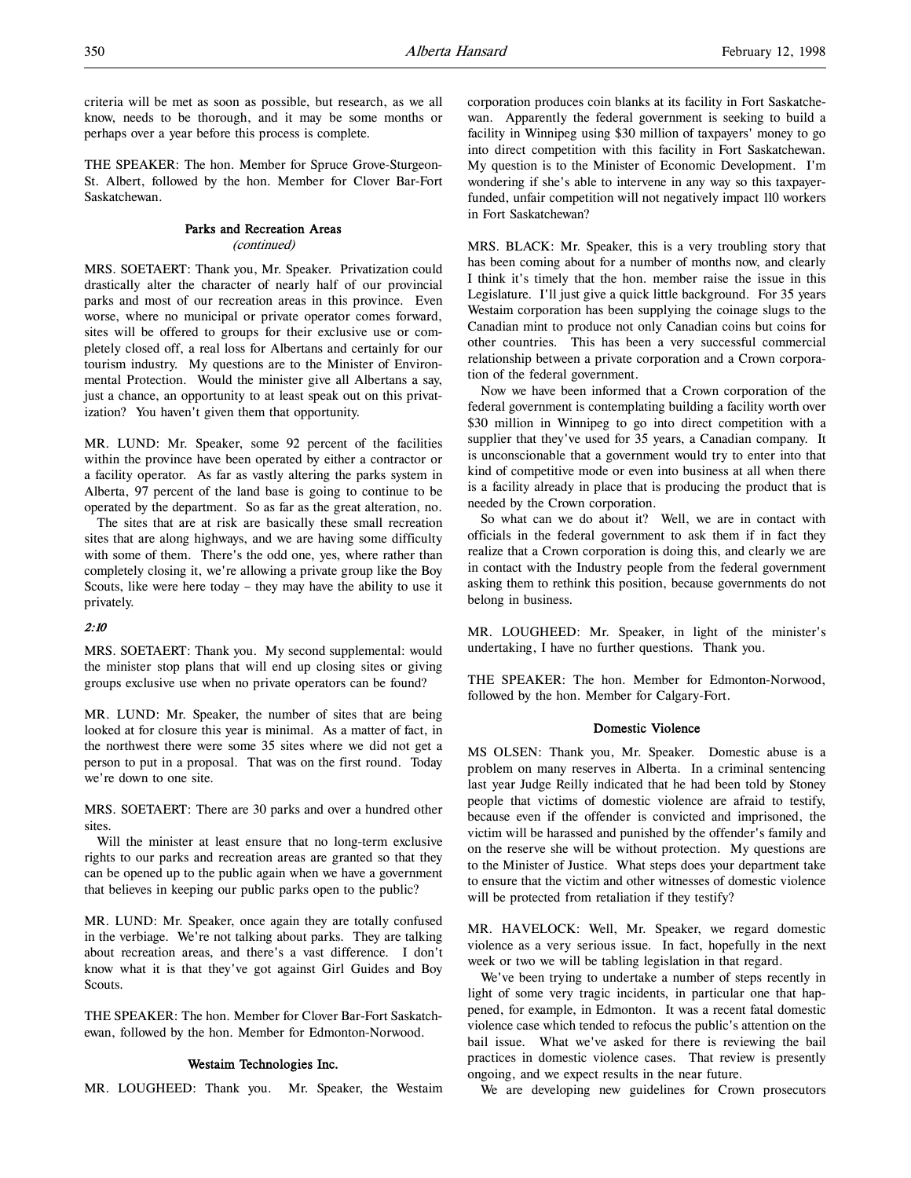criteria will be met as soon as possible, but research, as we all know, needs to be thorough, and it may be some months or perhaps over a year before this process is complete.

THE SPEAKER: The hon. Member for Spruce Grove-Sturgeon-St. Albert, followed by the hon. Member for Clover Bar-Fort Saskatchewan.

# Parks and Recreation Areas

(continued)

MRS. SOETAERT: Thank you, Mr. Speaker. Privatization could drastically alter the character of nearly half of our provincial parks and most of our recreation areas in this province. Even worse, where no municipal or private operator comes forward, sites will be offered to groups for their exclusive use or completely closed off, a real loss for Albertans and certainly for our tourism industry. My questions are to the Minister of Environmental Protection. Would the minister give all Albertans a say, just a chance, an opportunity to at least speak out on this privatization? You haven't given them that opportunity.

MR. LUND: Mr. Speaker, some 92 percent of the facilities within the province have been operated by either a contractor or a facility operator. As far as vastly altering the parks system in Alberta, 97 percent of the land base is going to continue to be operated by the department. So as far as the great alteration, no.

The sites that are at risk are basically these small recreation sites that are along highways, and we are having some difficulty with some of them. There's the odd one, yes, where rather than completely closing it, we're allowing a private group like the Boy Scouts, like were here today – they may have the ability to use it privately.

# 2:10

MRS. SOETAERT: Thank you. My second supplemental: would the minister stop plans that will end up closing sites or giving groups exclusive use when no private operators can be found?

MR. LUND: Mr. Speaker, the number of sites that are being looked at for closure this year is minimal. As a matter of fact, in the northwest there were some 35 sites where we did not get a person to put in a proposal. That was on the first round. Today we're down to one site.

MRS. SOETAERT: There are 30 parks and over a hundred other sites.

Will the minister at least ensure that no long-term exclusive rights to our parks and recreation areas are granted so that they can be opened up to the public again when we have a government that believes in keeping our public parks open to the public?

MR. LUND: Mr. Speaker, once again they are totally confused in the verbiage. We're not talking about parks. They are talking about recreation areas, and there's a vast difference. I don't know what it is that they've got against Girl Guides and Boy Scouts.

THE SPEAKER: The hon. Member for Clover Bar-Fort Saskatchewan, followed by the hon. Member for Edmonton-Norwood.

# Westaim Technologies Inc.

MR. LOUGHEED: Thank you. Mr. Speaker, the Westaim

corporation produces coin blanks at its facility in Fort Saskatchewan. Apparently the federal government is seeking to build a facility in Winnipeg using \$30 million of taxpayers' money to go into direct competition with this facility in Fort Saskatchewan. My question is to the Minister of Economic Development. I'm wondering if she's able to intervene in any way so this taxpayerfunded, unfair competition will not negatively impact 110 workers in Fort Saskatchewan?

MRS. BLACK: Mr. Speaker, this is a very troubling story that has been coming about for a number of months now, and clearly I think it's timely that the hon. member raise the issue in this Legislature. I'll just give a quick little background. For 35 years Westaim corporation has been supplying the coinage slugs to the Canadian mint to produce not only Canadian coins but coins for other countries. This has been a very successful commercial relationship between a private corporation and a Crown corporation of the federal government.

Now we have been informed that a Crown corporation of the federal government is contemplating building a facility worth over \$30 million in Winnipeg to go into direct competition with a supplier that they've used for 35 years, a Canadian company. It is unconscionable that a government would try to enter into that kind of competitive mode or even into business at all when there is a facility already in place that is producing the product that is needed by the Crown corporation.

So what can we do about it? Well, we are in contact with officials in the federal government to ask them if in fact they realize that a Crown corporation is doing this, and clearly we are in contact with the Industry people from the federal government asking them to rethink this position, because governments do not belong in business.

MR. LOUGHEED: Mr. Speaker, in light of the minister's undertaking, I have no further questions. Thank you.

THE SPEAKER: The hon. Member for Edmonton-Norwood, followed by the hon. Member for Calgary-Fort.

# Domestic Violence

MS OLSEN: Thank you, Mr. Speaker. Domestic abuse is a problem on many reserves in Alberta. In a criminal sentencing last year Judge Reilly indicated that he had been told by Stoney people that victims of domestic violence are afraid to testify, because even if the offender is convicted and imprisoned, the victim will be harassed and punished by the offender's family and on the reserve she will be without protection. My questions are to the Minister of Justice. What steps does your department take to ensure that the victim and other witnesses of domestic violence will be protected from retaliation if they testify?

MR. HAVELOCK: Well, Mr. Speaker, we regard domestic violence as a very serious issue. In fact, hopefully in the next week or two we will be tabling legislation in that regard.

We've been trying to undertake a number of steps recently in light of some very tragic incidents, in particular one that happened, for example, in Edmonton. It was a recent fatal domestic violence case which tended to refocus the public's attention on the bail issue. What we've asked for there is reviewing the bail practices in domestic violence cases. That review is presently ongoing, and we expect results in the near future.

We are developing new guidelines for Crown prosecutors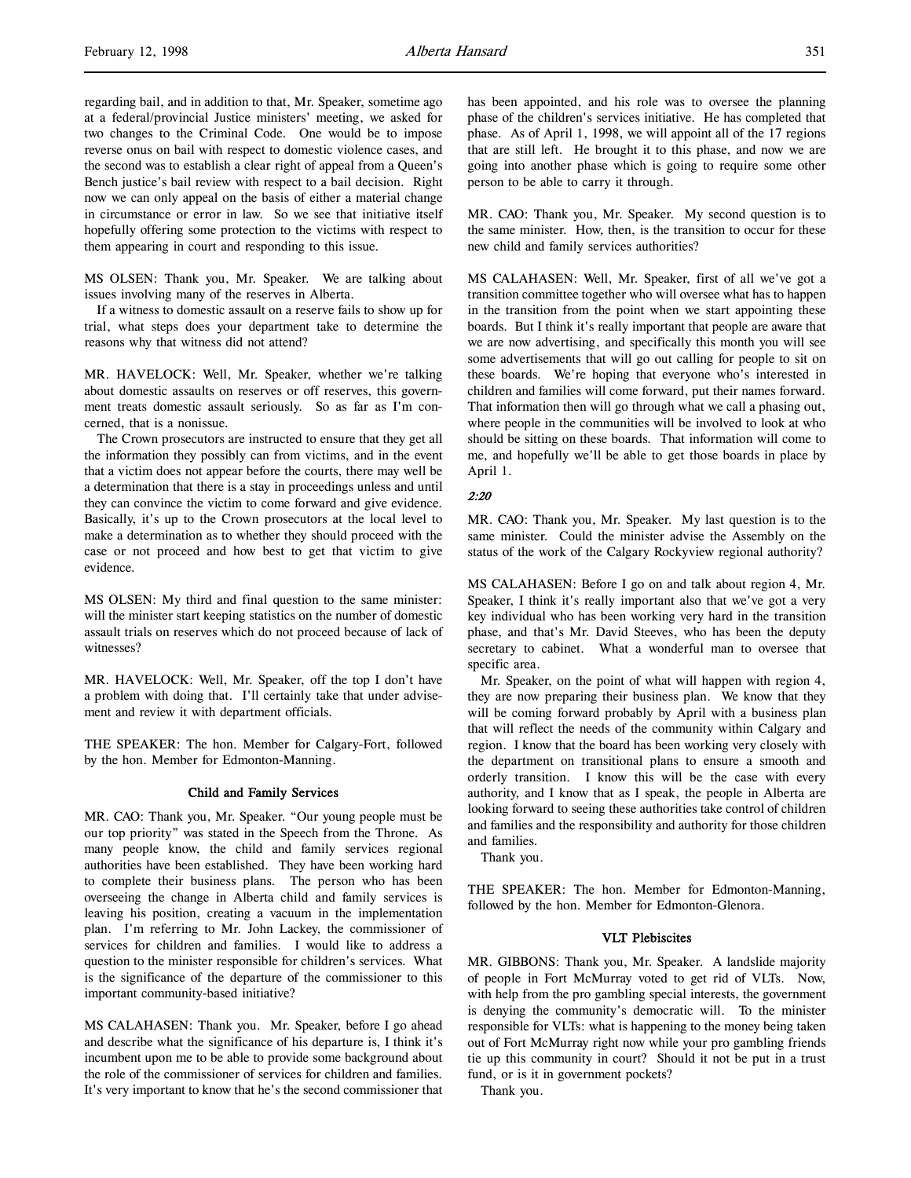regarding bail, and in addition to that, Mr. Speaker, sometime ago at a federal/provincial Justice ministers' meeting, we asked for two changes to the Criminal Code. One would be to impose reverse onus on bail with respect to domestic violence cases, and the second was to establish a clear right of appeal from a Queen's Bench justice's bail review with respect to a bail decision. Right now we can only appeal on the basis of either a material change in circumstance or error in law. So we see that initiative itself hopefully offering some protection to the victims with respect to them appearing in court and responding to this issue.

MS OLSEN: Thank you, Mr. Speaker. We are talking about issues involving many of the reserves in Alberta.

If a witness to domestic assault on a reserve fails to show up for trial, what steps does your department take to determine the reasons why that witness did not attend?

MR. HAVELOCK: Well, Mr. Speaker, whether we're talking about domestic assaults on reserves or off reserves, this government treats domestic assault seriously. So as far as I'm concerned, that is a nonissue.

The Crown prosecutors are instructed to ensure that they get all the information they possibly can from victims, and in the event that a victim does not appear before the courts, there may well be a determination that there is a stay in proceedings unless and until they can convince the victim to come forward and give evidence. Basically, it's up to the Crown prosecutors at the local level to make a determination as to whether they should proceed with the case or not proceed and how best to get that victim to give evidence.

MS OLSEN: My third and final question to the same minister: will the minister start keeping statistics on the number of domestic assault trials on reserves which do not proceed because of lack of witnesses?

MR. HAVELOCK: Well, Mr. Speaker, off the top I don't have a problem with doing that. I'll certainly take that under advisement and review it with department officials.

THE SPEAKER: The hon. Member for Calgary-Fort, followed by the hon. Member for Edmonton-Manning.

#### Child and Family Services

MR. CAO: Thank you, Mr. Speaker. "Our young people must be our top priority" was stated in the Speech from the Throne. As many people know, the child and family services regional authorities have been established. They have been working hard to complete their business plans. The person who has been overseeing the change in Alberta child and family services is leaving his position, creating a vacuum in the implementation plan. I'm referring to Mr. John Lackey, the commissioner of services for children and families. I would like to address a question to the minister responsible for children's services. What is the significance of the departure of the commissioner to this important community-based initiative?

MS CALAHASEN: Thank you. Mr. Speaker, before I go ahead and describe what the significance of his departure is, I think it's incumbent upon me to be able to provide some background about the role of the commissioner of services for children and families. It's very important to know that he's the second commissioner that

has been appointed, and his role was to oversee the planning phase of the children's services initiative. He has completed that phase. As of April 1, 1998, we will appoint all of the 17 regions that are still left. He brought it to this phase, and now we are going into another phase which is going to require some other person to be able to carry it through.

MR. CAO: Thank you, Mr. Speaker. My second question is to the same minister. How, then, is the transition to occur for these new child and family services authorities?

MS CALAHASEN: Well, Mr. Speaker, first of all we've got a transition committee together who will oversee what has to happen in the transition from the point when we start appointing these boards. But I think it's really important that people are aware that we are now advertising, and specifically this month you will see some advertisements that will go out calling for people to sit on these boards. We're hoping that everyone who's interested in children and families will come forward, put their names forward. That information then will go through what we call a phasing out, where people in the communities will be involved to look at who should be sitting on these boards. That information will come to me, and hopefully we'll be able to get those boards in place by April 1.

#### 2:20

MR. CAO: Thank you, Mr. Speaker. My last question is to the same minister. Could the minister advise the Assembly on the status of the work of the Calgary Rockyview regional authority?

MS CALAHASEN: Before I go on and talk about region 4, Mr. Speaker, I think it's really important also that we've got a very key individual who has been working very hard in the transition phase, and that's Mr. David Steeves, who has been the deputy secretary to cabinet. What a wonderful man to oversee that specific area.

Mr. Speaker, on the point of what will happen with region 4, they are now preparing their business plan. We know that they will be coming forward probably by April with a business plan that will reflect the needs of the community within Calgary and region. I know that the board has been working very closely with the department on transitional plans to ensure a smooth and orderly transition. I know this will be the case with every authority, and I know that as I speak, the people in Alberta are looking forward to seeing these authorities take control of children and families and the responsibility and authority for those children and families.

Thank you.

THE SPEAKER: The hon. Member for Edmonton-Manning, followed by the hon. Member for Edmonton-Glenora.

#### VLT Plebiscites

MR. GIBBONS: Thank you, Mr. Speaker. A landslide majority of people in Fort McMurray voted to get rid of VLTs. Now, with help from the pro gambling special interests, the government is denying the community's democratic will. To the minister responsible for VLTs: what is happening to the money being taken out of Fort McMurray right now while your pro gambling friends tie up this community in court? Should it not be put in a trust fund, or is it in government pockets?

Thank you.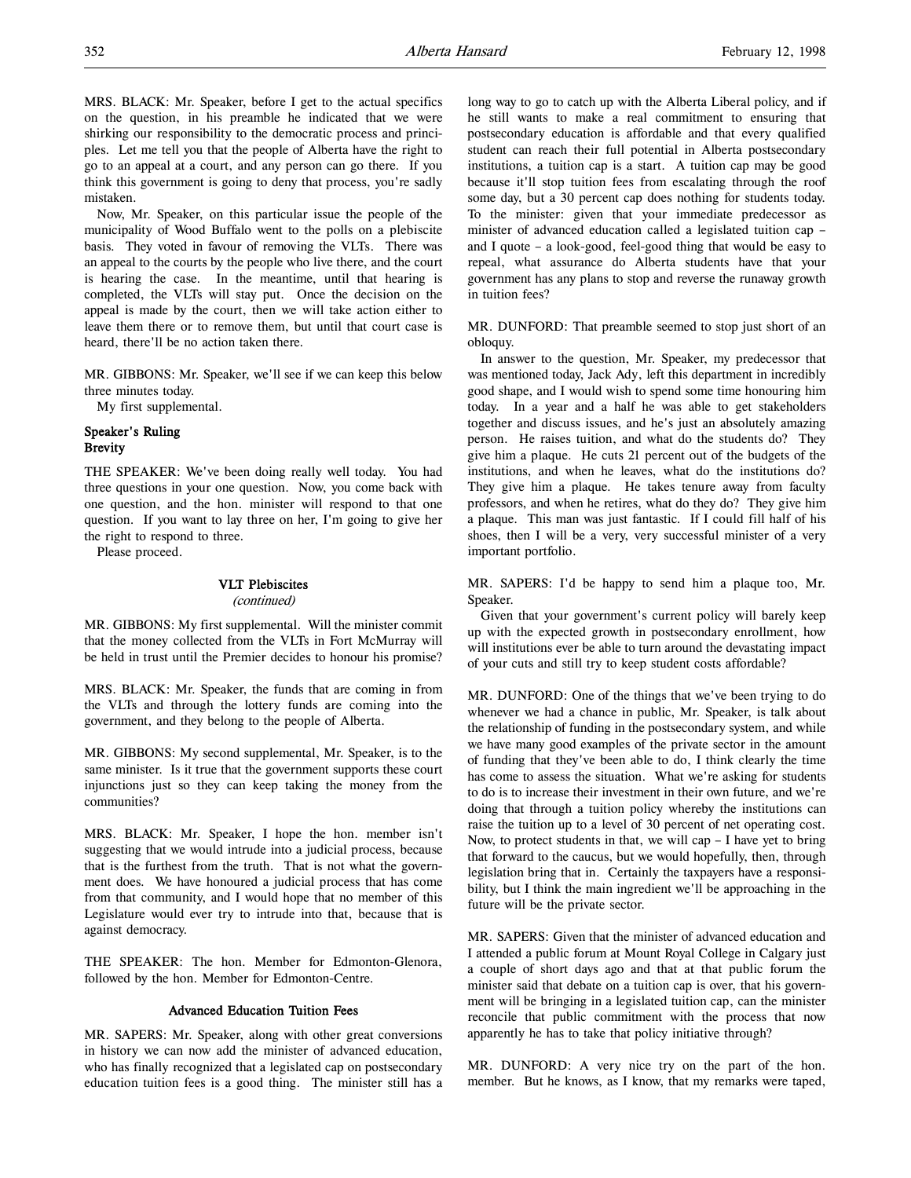MRS. BLACK: Mr. Speaker, before I get to the actual specifics on the question, in his preamble he indicated that we were shirking our responsibility to the democratic process and principles. Let me tell you that the people of Alberta have the right to go to an appeal at a court, and any person can go there. If you think this government is going to deny that process, you're sadly mistaken.

Now, Mr. Speaker, on this particular issue the people of the municipality of Wood Buffalo went to the polls on a plebiscite basis. They voted in favour of removing the VLTs. There was an appeal to the courts by the people who live there, and the court is hearing the case. In the meantime, until that hearing is completed, the VLTs will stay put. Once the decision on the appeal is made by the court, then we will take action either to leave them there or to remove them, but until that court case is heard, there'll be no action taken there.

MR. GIBBONS: Mr. Speaker, we'll see if we can keep this below three minutes today.

My first supplemental.

# Speaker's Ruling **Brevity**

THE SPEAKER: We've been doing really well today. You had three questions in your one question. Now, you come back with one question, and the hon. minister will respond to that one question. If you want to lay three on her, I'm going to give her the right to respond to three.

Please proceed.

#### VLT Plebiscites

#### (continued)

MR. GIBBONS: My first supplemental. Will the minister commit that the money collected from the VLTs in Fort McMurray will be held in trust until the Premier decides to honour his promise?

MRS. BLACK: Mr. Speaker, the funds that are coming in from the VLTs and through the lottery funds are coming into the government, and they belong to the people of Alberta.

MR. GIBBONS: My second supplemental, Mr. Speaker, is to the same minister. Is it true that the government supports these court injunctions just so they can keep taking the money from the communities?

MRS. BLACK: Mr. Speaker, I hope the hon. member isn't suggesting that we would intrude into a judicial process, because that is the furthest from the truth. That is not what the government does. We have honoured a judicial process that has come from that community, and I would hope that no member of this Legislature would ever try to intrude into that, because that is against democracy.

THE SPEAKER: The hon. Member for Edmonton-Glenora, followed by the hon. Member for Edmonton-Centre.

#### Advanced Education Tuition Fees

MR. SAPERS: Mr. Speaker, along with other great conversions in history we can now add the minister of advanced education, who has finally recognized that a legislated cap on postsecondary education tuition fees is a good thing. The minister still has a long way to go to catch up with the Alberta Liberal policy, and if he still wants to make a real commitment to ensuring that postsecondary education is affordable and that every qualified student can reach their full potential in Alberta postsecondary institutions, a tuition cap is a start. A tuition cap may be good because it'll stop tuition fees from escalating through the roof some day, but a 30 percent cap does nothing for students today. To the minister: given that your immediate predecessor as minister of advanced education called a legislated tuition cap – and I quote – a look-good, feel-good thing that would be easy to repeal, what assurance do Alberta students have that your government has any plans to stop and reverse the runaway growth in tuition fees?

MR. DUNFORD: That preamble seemed to stop just short of an obloquy.

In answer to the question, Mr. Speaker, my predecessor that was mentioned today, Jack Ady, left this department in incredibly good shape, and I would wish to spend some time honouring him today. In a year and a half he was able to get stakeholders together and discuss issues, and he's just an absolutely amazing person. He raises tuition, and what do the students do? They give him a plaque. He cuts 21 percent out of the budgets of the institutions, and when he leaves, what do the institutions do? They give him a plaque. He takes tenure away from faculty professors, and when he retires, what do they do? They give him a plaque. This man was just fantastic. If I could fill half of his shoes, then I will be a very, very successful minister of a very important portfolio.

MR. SAPERS: I'd be happy to send him a plaque too, Mr. Speaker.

Given that your government's current policy will barely keep up with the expected growth in postsecondary enrollment, how will institutions ever be able to turn around the devastating impact of your cuts and still try to keep student costs affordable?

MR. DUNFORD: One of the things that we've been trying to do whenever we had a chance in public, Mr. Speaker, is talk about the relationship of funding in the postsecondary system, and while we have many good examples of the private sector in the amount of funding that they've been able to do, I think clearly the time has come to assess the situation. What we're asking for students to do is to increase their investment in their own future, and we're doing that through a tuition policy whereby the institutions can raise the tuition up to a level of 30 percent of net operating cost. Now, to protect students in that, we will cap  $-1$  have yet to bring that forward to the caucus, but we would hopefully, then, through legislation bring that in. Certainly the taxpayers have a responsibility, but I think the main ingredient we'll be approaching in the future will be the private sector.

MR. SAPERS: Given that the minister of advanced education and I attended a public forum at Mount Royal College in Calgary just a couple of short days ago and that at that public forum the minister said that debate on a tuition cap is over, that his government will be bringing in a legislated tuition cap, can the minister reconcile that public commitment with the process that now apparently he has to take that policy initiative through?

MR. DUNFORD: A very nice try on the part of the hon. member. But he knows, as I know, that my remarks were taped,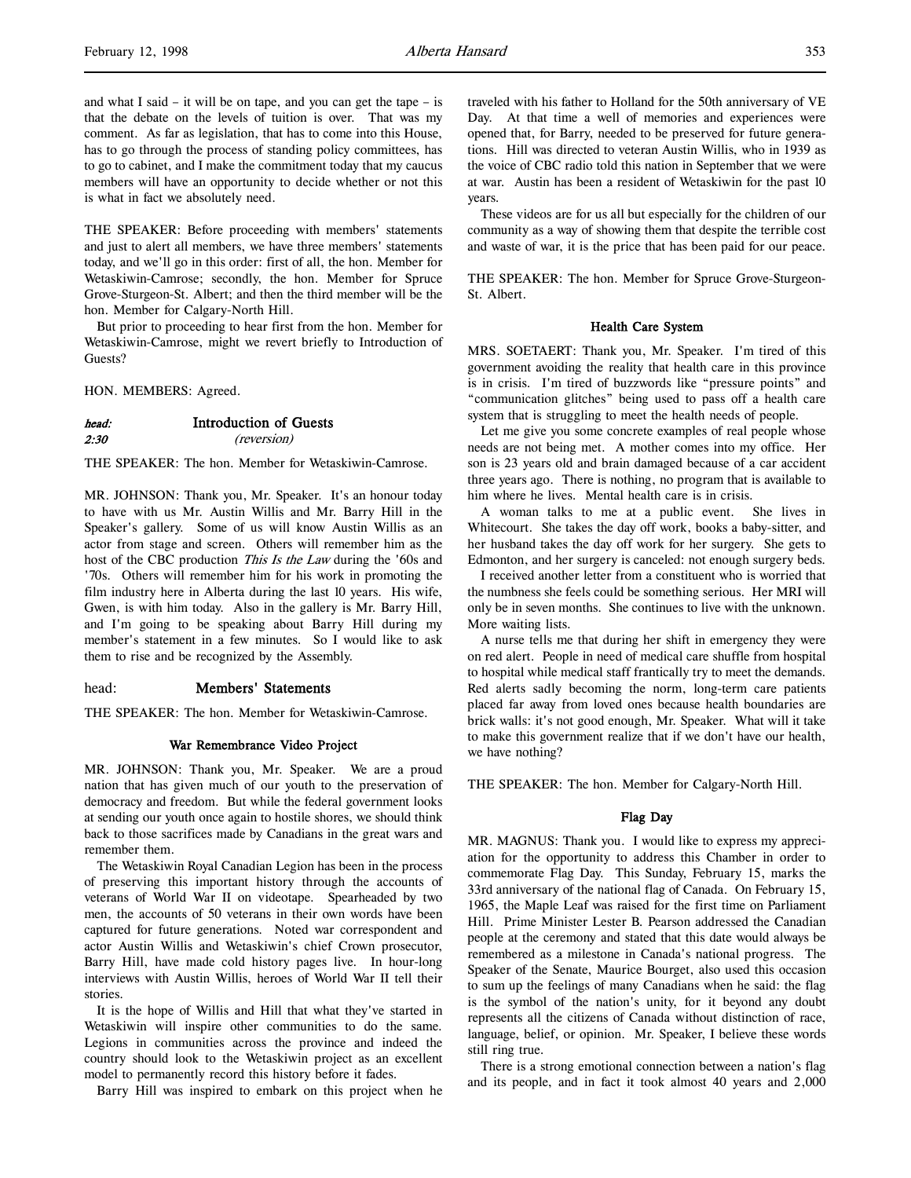and what I said – it will be on tape, and you can get the tape – is that the debate on the levels of tuition is over. That was my comment. As far as legislation, that has to come into this House, has to go through the process of standing policy committees, has to go to cabinet, and I make the commitment today that my caucus members will have an opportunity to decide whether or not this is what in fact we absolutely need.

THE SPEAKER: Before proceeding with members' statements and just to alert all members, we have three members' statements today, and we'll go in this order: first of all, the hon. Member for Wetaskiwin-Camrose; secondly, the hon. Member for Spruce Grove-Sturgeon-St. Albert; and then the third member will be the hon. Member for Calgary-North Hill.

But prior to proceeding to hear first from the hon. Member for Wetaskiwin-Camrose, might we revert briefly to Introduction of Guests?

HON. MEMBERS: Agreed.

#### head: Introduction of Guests 2:30 (reversion)

THE SPEAKER: The hon. Member for Wetaskiwin-Camrose.

MR. JOHNSON: Thank you, Mr. Speaker. It's an honour today to have with us Mr. Austin Willis and Mr. Barry Hill in the Speaker's gallery. Some of us will know Austin Willis as an actor from stage and screen. Others will remember him as the host of the CBC production This Is the Law during the '60s and '70s. Others will remember him for his work in promoting the film industry here in Alberta during the last 10 years. His wife, Gwen, is with him today. Also in the gallery is Mr. Barry Hill, and I'm going to be speaking about Barry Hill during my member's statement in a few minutes. So I would like to ask them to rise and be recognized by the Assembly.

head: Members' Statements

THE SPEAKER: The hon. Member for Wetaskiwin-Camrose.

#### War Remembrance Video Project

MR. JOHNSON: Thank you, Mr. Speaker. We are a proud nation that has given much of our youth to the preservation of democracy and freedom. But while the federal government looks at sending our youth once again to hostile shores, we should think back to those sacrifices made by Canadians in the great wars and remember them.

The Wetaskiwin Royal Canadian Legion has been in the process of preserving this important history through the accounts of veterans of World War II on videotape. Spearheaded by two men, the accounts of 50 veterans in their own words have been captured for future generations. Noted war correspondent and actor Austin Willis and Wetaskiwin's chief Crown prosecutor, Barry Hill, have made cold history pages live. In hour-long interviews with Austin Willis, heroes of World War II tell their stories.

It is the hope of Willis and Hill that what they've started in Wetaskiwin will inspire other communities to do the same. Legions in communities across the province and indeed the country should look to the Wetaskiwin project as an excellent model to permanently record this history before it fades.

Barry Hill was inspired to embark on this project when he

traveled with his father to Holland for the 50th anniversary of VE Day. At that time a well of memories and experiences were opened that, for Barry, needed to be preserved for future generations. Hill was directed to veteran Austin Willis, who in 1939 as the voice of CBC radio told this nation in September that we were at war. Austin has been a resident of Wetaskiwin for the past 10 years.

These videos are for us all but especially for the children of our community as a way of showing them that despite the terrible cost and waste of war, it is the price that has been paid for our peace.

THE SPEAKER: The hon. Member for Spruce Grove-Sturgeon-St. Albert.

#### Health Care System

MRS. SOETAERT: Thank you, Mr. Speaker. I'm tired of this government avoiding the reality that health care in this province is in crisis. I'm tired of buzzwords like "pressure points" and "communication glitches" being used to pass off a health care system that is struggling to meet the health needs of people.

Let me give you some concrete examples of real people whose needs are not being met. A mother comes into my office. Her son is 23 years old and brain damaged because of a car accident three years ago. There is nothing, no program that is available to him where he lives. Mental health care is in crisis.

A woman talks to me at a public event. She lives in Whitecourt. She takes the day off work, books a baby-sitter, and her husband takes the day off work for her surgery. She gets to Edmonton, and her surgery is canceled: not enough surgery beds.

I received another letter from a constituent who is worried that the numbness she feels could be something serious. Her MRI will only be in seven months. She continues to live with the unknown. More waiting lists.

A nurse tells me that during her shift in emergency they were on red alert. People in need of medical care shuffle from hospital to hospital while medical staff frantically try to meet the demands. Red alerts sadly becoming the norm, long-term care patients placed far away from loved ones because health boundaries are brick walls: it's not good enough, Mr. Speaker. What will it take to make this government realize that if we don't have our health, we have nothing?

THE SPEAKER: The hon. Member for Calgary-North Hill.

#### Flag Day

MR. MAGNUS: Thank you. I would like to express my appreciation for the opportunity to address this Chamber in order to commemorate Flag Day. This Sunday, February 15, marks the 33rd anniversary of the national flag of Canada. On February 15, 1965, the Maple Leaf was raised for the first time on Parliament Hill. Prime Minister Lester B. Pearson addressed the Canadian people at the ceremony and stated that this date would always be remembered as a milestone in Canada's national progress. The Speaker of the Senate, Maurice Bourget, also used this occasion to sum up the feelings of many Canadians when he said: the flag is the symbol of the nation's unity, for it beyond any doubt represents all the citizens of Canada without distinction of race, language, belief, or opinion. Mr. Speaker, I believe these words still ring true.

There is a strong emotional connection between a nation's flag and its people, and in fact it took almost 40 years and 2,000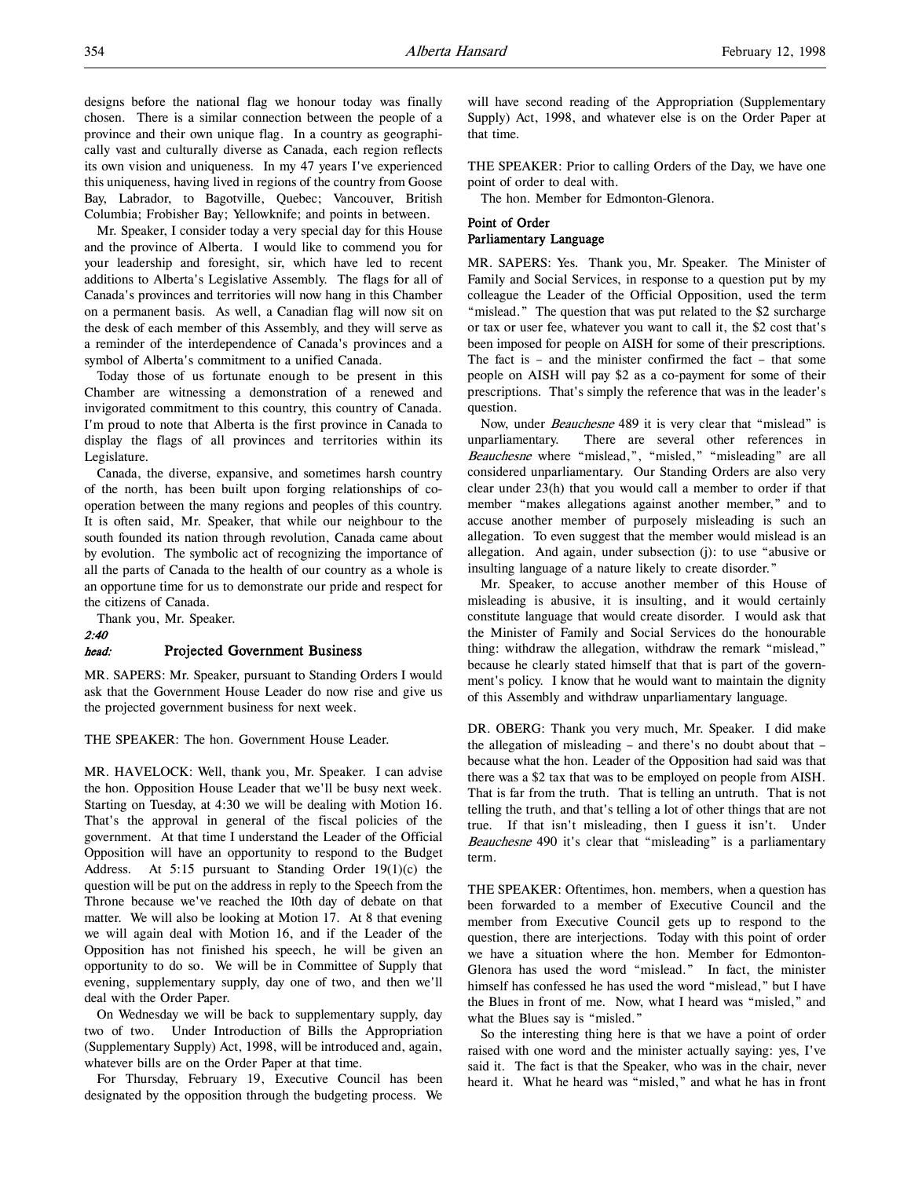Mr. Speaker, I consider today a very special day for this House and the province of Alberta. I would like to commend you for your leadership and foresight, sir, which have led to recent additions to Alberta's Legislative Assembly. The flags for all of Canada's provinces and territories will now hang in this Chamber on a permanent basis. As well, a Canadian flag will now sit on the desk of each member of this Assembly, and they will serve as a reminder of the interdependence of Canada's provinces and a symbol of Alberta's commitment to a unified Canada.

Today those of us fortunate enough to be present in this Chamber are witnessing a demonstration of a renewed and invigorated commitment to this country, this country of Canada. I'm proud to note that Alberta is the first province in Canada to display the flags of all provinces and territories within its Legislature.

Canada, the diverse, expansive, and sometimes harsh country of the north, has been built upon forging relationships of cooperation between the many regions and peoples of this country. It is often said, Mr. Speaker, that while our neighbour to the south founded its nation through revolution, Canada came about by evolution. The symbolic act of recognizing the importance of all the parts of Canada to the health of our country as a whole is an opportune time for us to demonstrate our pride and respect for the citizens of Canada.

Thank you, Mr. Speaker.

#### 2:40 head: Projected Government Business

MR. SAPERS: Mr. Speaker, pursuant to Standing Orders I would ask that the Government House Leader do now rise and give us the projected government business for next week.

THE SPEAKER: The hon. Government House Leader.

MR. HAVELOCK: Well, thank you, Mr. Speaker. I can advise the hon. Opposition House Leader that we'll be busy next week. Starting on Tuesday, at 4:30 we will be dealing with Motion 16. That's the approval in general of the fiscal policies of the government. At that time I understand the Leader of the Official Opposition will have an opportunity to respond to the Budget Address. At 5:15 pursuant to Standing Order 19(1)(c) the question will be put on the address in reply to the Speech from the Throne because we've reached the 10th day of debate on that matter. We will also be looking at Motion 17. At 8 that evening we will again deal with Motion 16, and if the Leader of the Opposition has not finished his speech, he will be given an opportunity to do so. We will be in Committee of Supply that evening, supplementary supply, day one of two, and then we'll deal with the Order Paper.

On Wednesday we will be back to supplementary supply, day two of two. Under Introduction of Bills the Appropriation (Supplementary Supply) Act, 1998, will be introduced and, again, whatever bills are on the Order Paper at that time.

For Thursday, February 19, Executive Council has been designated by the opposition through the budgeting process. We

will have second reading of the Appropriation (Supplementary Supply) Act, 1998, and whatever else is on the Order Paper at that time.

THE SPEAKER: Prior to calling Orders of the Day, we have one point of order to deal with.

The hon. Member for Edmonton-Glenora.

# Point of Order

# Parliamentary Language

MR. SAPERS: Yes. Thank you, Mr. Speaker. The Minister of Family and Social Services, in response to a question put by my colleague the Leader of the Official Opposition, used the term "mislead." The question that was put related to the \$2 surcharge or tax or user fee, whatever you want to call it, the \$2 cost that's been imposed for people on AISH for some of their prescriptions. The fact is – and the minister confirmed the fact – that some people on AISH will pay \$2 as a co-payment for some of their prescriptions. That's simply the reference that was in the leader's question.

Now, under Beauchesne 489 it is very clear that "mislead" is unparliamentary. There are several other references in Beauchesne where "mislead,", "misled," "misleading" are all considered unparliamentary. Our Standing Orders are also very clear under 23(h) that you would call a member to order if that member "makes allegations against another member," and to accuse another member of purposely misleading is such an allegation. To even suggest that the member would mislead is an allegation. And again, under subsection (j): to use "abusive or insulting language of a nature likely to create disorder."

Mr. Speaker, to accuse another member of this House of misleading is abusive, it is insulting, and it would certainly constitute language that would create disorder. I would ask that the Minister of Family and Social Services do the honourable thing: withdraw the allegation, withdraw the remark "mislead," because he clearly stated himself that that is part of the government's policy. I know that he would want to maintain the dignity of this Assembly and withdraw unparliamentary language.

DR. OBERG: Thank you very much, Mr. Speaker. I did make the allegation of misleading – and there's no doubt about that – because what the hon. Leader of the Opposition had said was that there was a \$2 tax that was to be employed on people from AISH. That is far from the truth. That is telling an untruth. That is not telling the truth, and that's telling a lot of other things that are not true. If that isn't misleading, then I guess it isn't. Under Beauchesne 490 it's clear that "misleading" is a parliamentary term.

THE SPEAKER: Oftentimes, hon. members, when a question has been forwarded to a member of Executive Council and the member from Executive Council gets up to respond to the question, there are interjections. Today with this point of order we have a situation where the hon. Member for Edmonton-Glenora has used the word "mislead." In fact, the minister himself has confessed he has used the word "mislead," but I have the Blues in front of me. Now, what I heard was "misled," and what the Blues say is "misled."

So the interesting thing here is that we have a point of order raised with one word and the minister actually saying: yes, I've said it. The fact is that the Speaker, who was in the chair, never heard it. What he heard was "misled," and what he has in front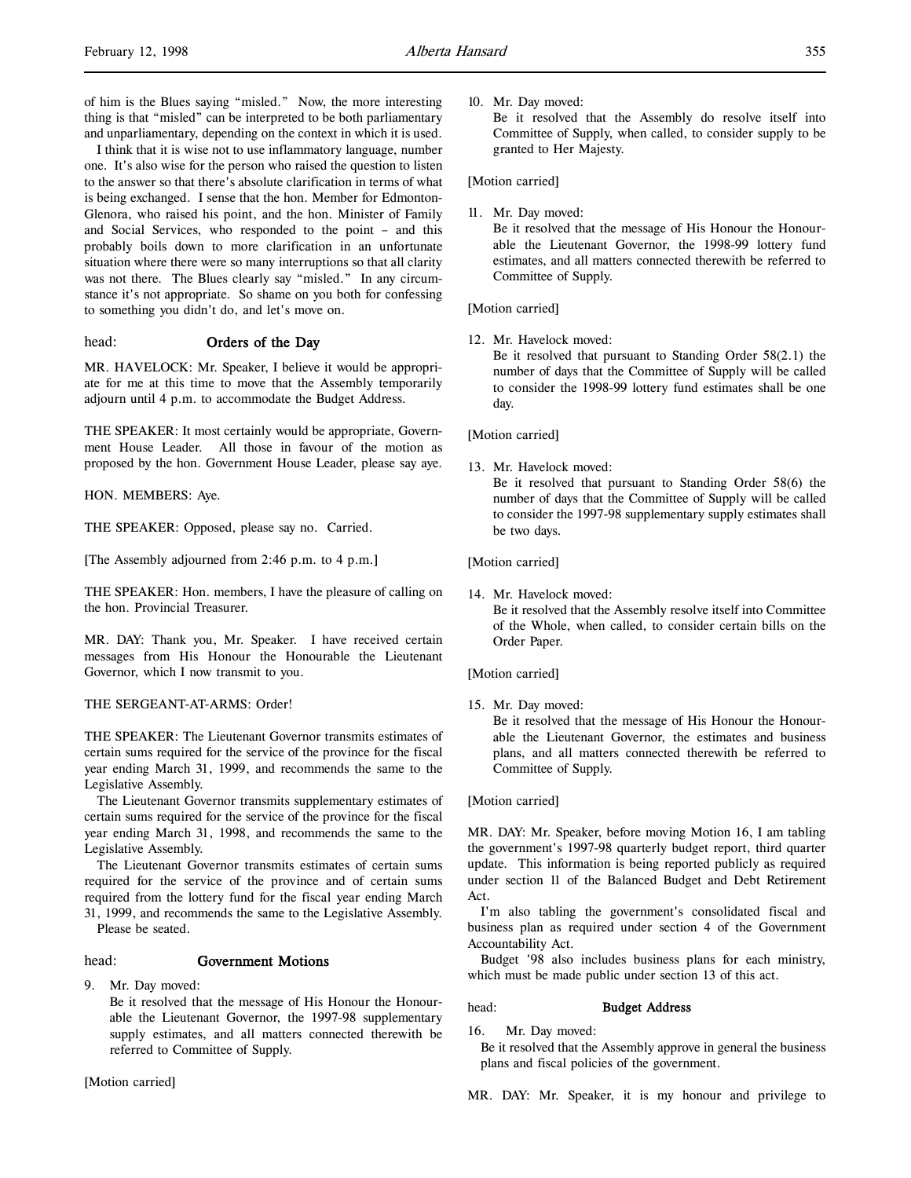I think that it is wise not to use inflammatory language, number one. It's also wise for the person who raised the question to listen to the answer so that there's absolute clarification in terms of what is being exchanged. I sense that the hon. Member for Edmonton-Glenora, who raised his point, and the hon. Minister of Family and Social Services, who responded to the point – and this probably boils down to more clarification in an unfortunate situation where there were so many interruptions so that all clarity was not there. The Blues clearly say "misled." In any circumstance it's not appropriate. So shame on you both for confessing to something you didn't do, and let's move on.

# head: **Orders of the Day**

MR. HAVELOCK: Mr. Speaker, I believe it would be appropriate for me at this time to move that the Assembly temporarily adjourn until 4 p.m. to accommodate the Budget Address.

THE SPEAKER: It most certainly would be appropriate, Government House Leader. All those in favour of the motion as proposed by the hon. Government House Leader, please say aye.

HON. MEMBERS: Aye.

THE SPEAKER: Opposed, please say no. Carried.

[The Assembly adjourned from 2:46 p.m. to 4 p.m.]

THE SPEAKER: Hon. members, I have the pleasure of calling on the hon. Provincial Treasurer.

MR. DAY: Thank you, Mr. Speaker. I have received certain messages from His Honour the Honourable the Lieutenant Governor, which I now transmit to you.

# THE SERGEANT-AT-ARMS: Order!

THE SPEAKER: The Lieutenant Governor transmits estimates of certain sums required for the service of the province for the fiscal year ending March 31, 1999, and recommends the same to the Legislative Assembly.

The Lieutenant Governor transmits supplementary estimates of certain sums required for the service of the province for the fiscal year ending March 31, 1998, and recommends the same to the Legislative Assembly.

The Lieutenant Governor transmits estimates of certain sums required for the service of the province and of certain sums required from the lottery fund for the fiscal year ending March 31, 1999, and recommends the same to the Legislative Assembly. Please be seated.

#### head: Government Motions

9. Mr. Day moved:

Be it resolved that the message of His Honour the Honourable the Lieutenant Governor, the 1997-98 supplementary supply estimates, and all matters connected therewith be referred to Committee of Supply.

[Motion carried]

#### 10. Mr. Day moved:

Be it resolved that the Assembly do resolve itself into Committee of Supply, when called, to consider supply to be granted to Her Majesty.

[Motion carried]

11. Mr. Day moved:

Be it resolved that the message of His Honour the Honourable the Lieutenant Governor, the 1998-99 lottery fund estimates, and all matters connected therewith be referred to Committee of Supply.

[Motion carried]

12. Mr. Havelock moved:

Be it resolved that pursuant to Standing Order 58(2.1) the number of days that the Committee of Supply will be called to consider the 1998-99 lottery fund estimates shall be one day.

[Motion carried]

13. Mr. Havelock moved:

Be it resolved that pursuant to Standing Order 58(6) the number of days that the Committee of Supply will be called to consider the 1997-98 supplementary supply estimates shall be two days.

[Motion carried]

14. Mr. Havelock moved: Be it resolved that the Assembly resolve itself into Committee of the Whole, when called, to consider certain bills on the Order Paper.

[Motion carried]

15. Mr. Day moved:

Be it resolved that the message of His Honour the Honourable the Lieutenant Governor, the estimates and business plans, and all matters connected therewith be referred to Committee of Supply.

[Motion carried]

MR. DAY: Mr. Speaker, before moving Motion 16, I am tabling the government's 1997-98 quarterly budget report, third quarter update. This information is being reported publicly as required under section 11 of the Balanced Budget and Debt Retirement Act.

I'm also tabling the government's consolidated fiscal and business plan as required under section 4 of the Government Accountability Act.

Budget '98 also includes business plans for each ministry, which must be made public under section 13 of this act.

#### head: **Budget Address**

16. Mr. Day moved:

Be it resolved that the Assembly approve in general the business plans and fiscal policies of the government.

MR. DAY: Mr. Speaker, it is my honour and privilege to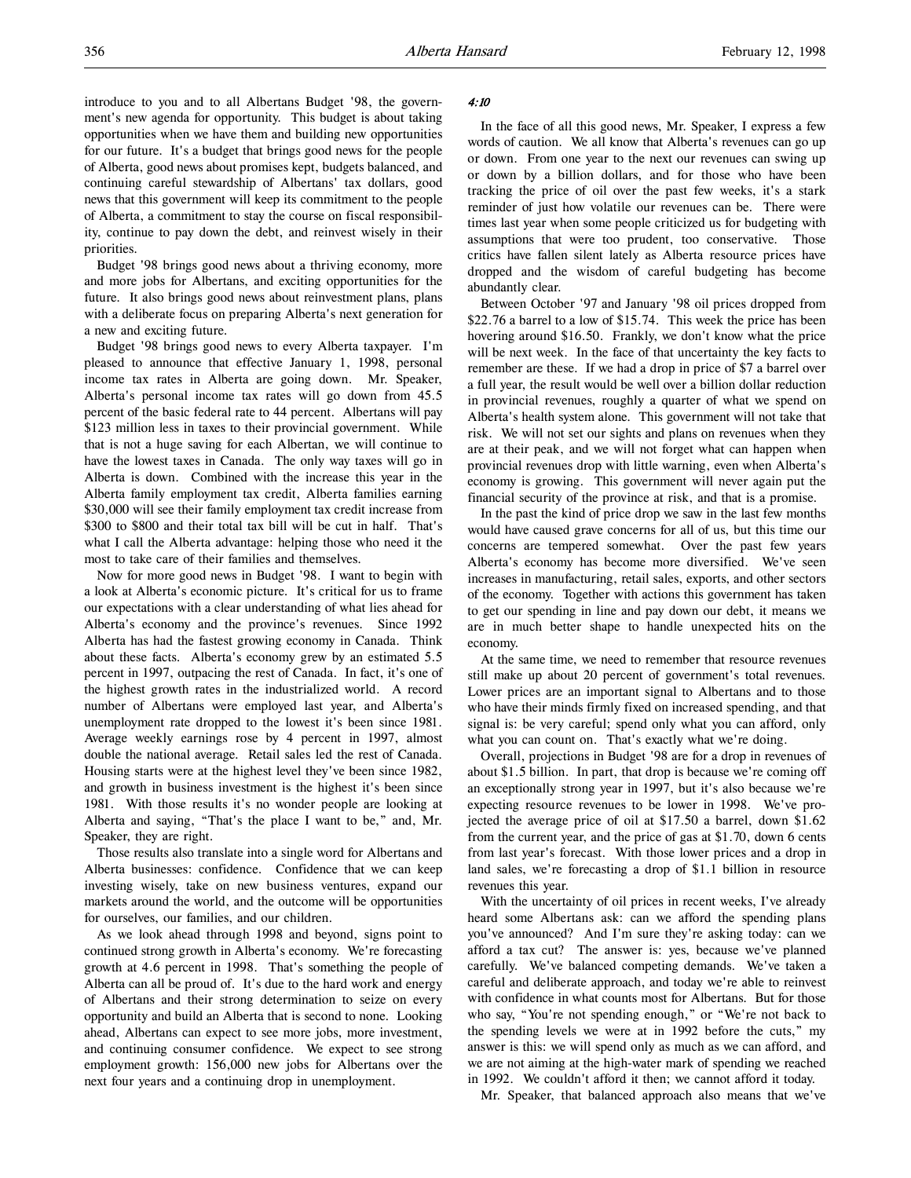introduce to you and to all Albertans Budget '98, the government's new agenda for opportunity. This budget is about taking opportunities when we have them and building new opportunities for our future. It's a budget that brings good news for the people of Alberta, good news about promises kept, budgets balanced, and continuing careful stewardship of Albertans' tax dollars, good news that this government will keep its commitment to the people of Alberta, a commitment to stay the course on fiscal responsibility, continue to pay down the debt, and reinvest wisely in their priorities.

Budget '98 brings good news about a thriving economy, more and more jobs for Albertans, and exciting opportunities for the future. It also brings good news about reinvestment plans, plans with a deliberate focus on preparing Alberta's next generation for a new and exciting future.

Budget '98 brings good news to every Alberta taxpayer. I'm pleased to announce that effective January 1, 1998, personal income tax rates in Alberta are going down. Mr. Speaker, Alberta's personal income tax rates will go down from 45.5 percent of the basic federal rate to 44 percent. Albertans will pay \$123 million less in taxes to their provincial government. While that is not a huge saving for each Albertan, we will continue to have the lowest taxes in Canada. The only way taxes will go in Alberta is down. Combined with the increase this year in the Alberta family employment tax credit, Alberta families earning \$30,000 will see their family employment tax credit increase from \$300 to \$800 and their total tax bill will be cut in half. That's what I call the Alberta advantage: helping those who need it the most to take care of their families and themselves.

Now for more good news in Budget '98. I want to begin with a look at Alberta's economic picture. It's critical for us to frame our expectations with a clear understanding of what lies ahead for Alberta's economy and the province's revenues. Since 1992 Alberta has had the fastest growing economy in Canada. Think about these facts. Alberta's economy grew by an estimated 5.5 percent in 1997, outpacing the rest of Canada. In fact, it's one of the highest growth rates in the industrialized world. A record number of Albertans were employed last year, and Alberta's unemployment rate dropped to the lowest it's been since 1981. Average weekly earnings rose by 4 percent in 1997, almost double the national average. Retail sales led the rest of Canada. Housing starts were at the highest level they've been since 1982, and growth in business investment is the highest it's been since 1981. With those results it's no wonder people are looking at Alberta and saying, "That's the place I want to be," and, Mr. Speaker, they are right.

Those results also translate into a single word for Albertans and Alberta businesses: confidence. Confidence that we can keep investing wisely, take on new business ventures, expand our markets around the world, and the outcome will be opportunities for ourselves, our families, and our children.

As we look ahead through 1998 and beyond, signs point to continued strong growth in Alberta's economy. We're forecasting growth at 4.6 percent in 1998. That's something the people of Alberta can all be proud of. It's due to the hard work and energy of Albertans and their strong determination to seize on every opportunity and build an Alberta that is second to none. Looking ahead, Albertans can expect to see more jobs, more investment, and continuing consumer confidence. We expect to see strong employment growth: 156,000 new jobs for Albertans over the next four years and a continuing drop in unemployment.

#### 4:10

In the face of all this good news, Mr. Speaker, I express a few words of caution. We all know that Alberta's revenues can go up or down. From one year to the next our revenues can swing up or down by a billion dollars, and for those who have been tracking the price of oil over the past few weeks, it's a stark reminder of just how volatile our revenues can be. There were times last year when some people criticized us for budgeting with assumptions that were too prudent, too conservative. Those critics have fallen silent lately as Alberta resource prices have dropped and the wisdom of careful budgeting has become abundantly clear.

Between October '97 and January '98 oil prices dropped from \$22.76 a barrel to a low of \$15.74. This week the price has been hovering around \$16.50. Frankly, we don't know what the price will be next week. In the face of that uncertainty the key facts to remember are these. If we had a drop in price of \$7 a barrel over a full year, the result would be well over a billion dollar reduction in provincial revenues, roughly a quarter of what we spend on Alberta's health system alone. This government will not take that risk. We will not set our sights and plans on revenues when they are at their peak, and we will not forget what can happen when provincial revenues drop with little warning, even when Alberta's economy is growing. This government will never again put the financial security of the province at risk, and that is a promise.

In the past the kind of price drop we saw in the last few months would have caused grave concerns for all of us, but this time our concerns are tempered somewhat. Over the past few years Alberta's economy has become more diversified. We've seen increases in manufacturing, retail sales, exports, and other sectors of the economy. Together with actions this government has taken to get our spending in line and pay down our debt, it means we are in much better shape to handle unexpected hits on the economy.

At the same time, we need to remember that resource revenues still make up about 20 percent of government's total revenues. Lower prices are an important signal to Albertans and to those who have their minds firmly fixed on increased spending, and that signal is: be very careful; spend only what you can afford, only what you can count on. That's exactly what we're doing.

Overall, projections in Budget '98 are for a drop in revenues of about \$1.5 billion. In part, that drop is because we're coming off an exceptionally strong year in 1997, but it's also because we're expecting resource revenues to be lower in 1998. We've projected the average price of oil at \$17.50 a barrel, down \$1.62 from the current year, and the price of gas at \$1.70, down 6 cents from last year's forecast. With those lower prices and a drop in land sales, we're forecasting a drop of \$1.1 billion in resource revenues this year.

With the uncertainty of oil prices in recent weeks, I've already heard some Albertans ask: can we afford the spending plans you've announced? And I'm sure they're asking today: can we afford a tax cut? The answer is: yes, because we've planned carefully. We've balanced competing demands. We've taken a careful and deliberate approach, and today we're able to reinvest with confidence in what counts most for Albertans. But for those who say, "You're not spending enough," or "We're not back to the spending levels we were at in 1992 before the cuts," my answer is this: we will spend only as much as we can afford, and we are not aiming at the high-water mark of spending we reached in 1992. We couldn't afford it then; we cannot afford it today.

Mr. Speaker, that balanced approach also means that we've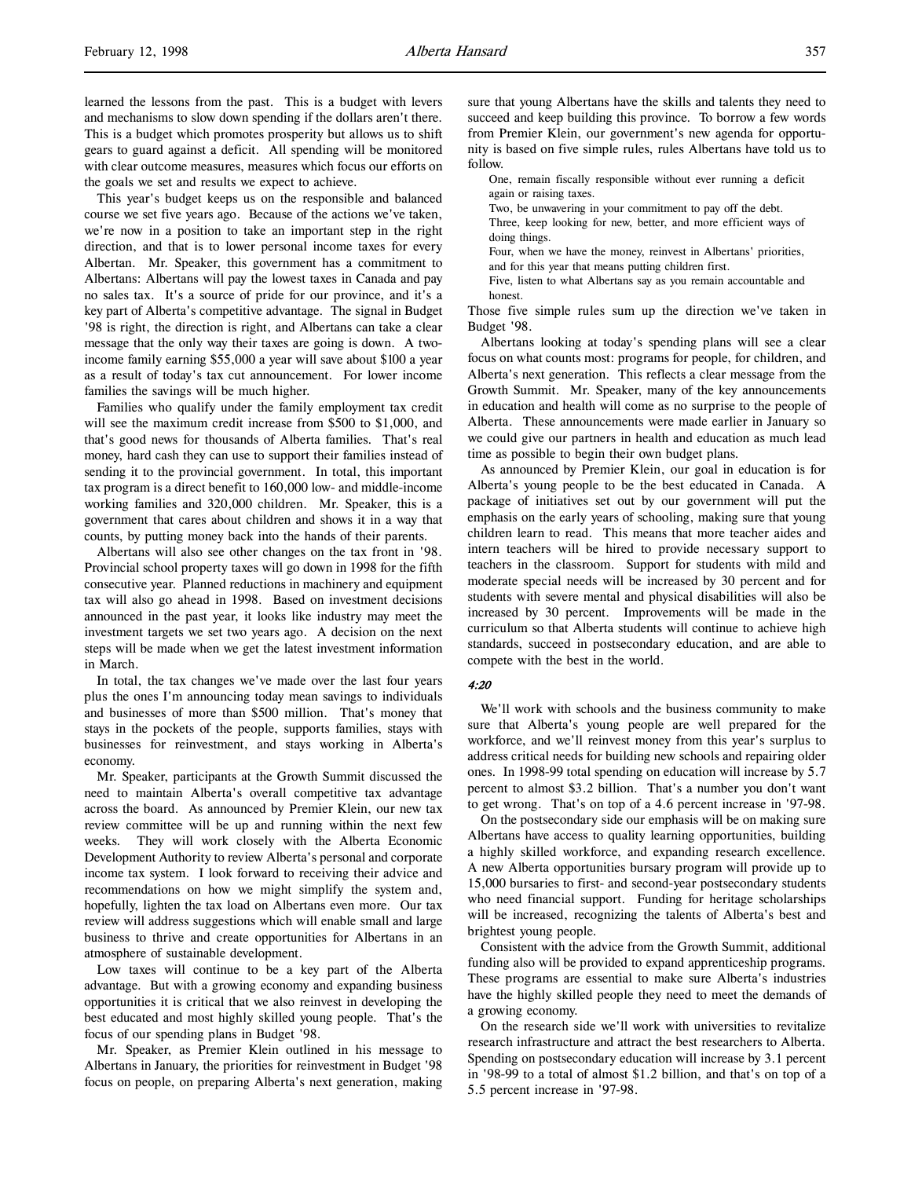learned the lessons from the past. This is a budget with levers and mechanisms to slow down spending if the dollars aren't there. This is a budget which promotes prosperity but allows us to shift gears to guard against a deficit. All spending will be monitored with clear outcome measures, measures which focus our efforts on the goals we set and results we expect to achieve.

This year's budget keeps us on the responsible and balanced course we set five years ago. Because of the actions we've taken, we're now in a position to take an important step in the right direction, and that is to lower personal income taxes for every Albertan. Mr. Speaker, this government has a commitment to Albertans: Albertans will pay the lowest taxes in Canada and pay no sales tax. It's a source of pride for our province, and it's a key part of Alberta's competitive advantage. The signal in Budget '98 is right, the direction is right, and Albertans can take a clear message that the only way their taxes are going is down. A twoincome family earning \$55,000 a year will save about \$100 a year as a result of today's tax cut announcement. For lower income families the savings will be much higher.

Families who qualify under the family employment tax credit will see the maximum credit increase from \$500 to \$1,000, and that's good news for thousands of Alberta families. That's real money, hard cash they can use to support their families instead of sending it to the provincial government. In total, this important tax program is a direct benefit to 160,000 low- and middle-income working families and 320,000 children. Mr. Speaker, this is a government that cares about children and shows it in a way that counts, by putting money back into the hands of their parents.

Albertans will also see other changes on the tax front in '98. Provincial school property taxes will go down in 1998 for the fifth consecutive year. Planned reductions in machinery and equipment tax will also go ahead in 1998. Based on investment decisions announced in the past year, it looks like industry may meet the investment targets we set two years ago. A decision on the next steps will be made when we get the latest investment information in March.

In total, the tax changes we've made over the last four years plus the ones I'm announcing today mean savings to individuals and businesses of more than \$500 million. That's money that stays in the pockets of the people, supports families, stays with businesses for reinvestment, and stays working in Alberta's economy.

Mr. Speaker, participants at the Growth Summit discussed the need to maintain Alberta's overall competitive tax advantage across the board. As announced by Premier Klein, our new tax review committee will be up and running within the next few weeks. They will work closely with the Alberta Economic Development Authority to review Alberta's personal and corporate income tax system. I look forward to receiving their advice and recommendations on how we might simplify the system and, hopefully, lighten the tax load on Albertans even more. Our tax review will address suggestions which will enable small and large business to thrive and create opportunities for Albertans in an atmosphere of sustainable development.

Low taxes will continue to be a key part of the Alberta advantage. But with a growing economy and expanding business opportunities it is critical that we also reinvest in developing the best educated and most highly skilled young people. That's the focus of our spending plans in Budget '98.

Mr. Speaker, as Premier Klein outlined in his message to Albertans in January, the priorities for reinvestment in Budget '98 focus on people, on preparing Alberta's next generation, making sure that young Albertans have the skills and talents they need to succeed and keep building this province. To borrow a few words from Premier Klein, our government's new agenda for opportunity is based on five simple rules, rules Albertans have told us to follow.

One, remain fiscally responsible without ever running a deficit again or raising taxes.

Two, be unwavering in your commitment to pay off the debt.

Three, keep looking for new, better, and more efficient ways of doing things.

Four, when we have the money, reinvest in Albertans' priorities,

and for this year that means putting children first.

Five, listen to what Albertans say as you remain accountable and honest.

Those five simple rules sum up the direction we've taken in Budget '98.

Albertans looking at today's spending plans will see a clear focus on what counts most: programs for people, for children, and Alberta's next generation. This reflects a clear message from the Growth Summit. Mr. Speaker, many of the key announcements in education and health will come as no surprise to the people of Alberta. These announcements were made earlier in January so we could give our partners in health and education as much lead time as possible to begin their own budget plans.

As announced by Premier Klein, our goal in education is for Alberta's young people to be the best educated in Canada. A package of initiatives set out by our government will put the emphasis on the early years of schooling, making sure that young children learn to read. This means that more teacher aides and intern teachers will be hired to provide necessary support to teachers in the classroom. Support for students with mild and moderate special needs will be increased by 30 percent and for students with severe mental and physical disabilities will also be increased by 30 percent. Improvements will be made in the curriculum so that Alberta students will continue to achieve high standards, succeed in postsecondary education, and are able to compete with the best in the world.

#### $4.20$

We'll work with schools and the business community to make sure that Alberta's young people are well prepared for the workforce, and we'll reinvest money from this year's surplus to address critical needs for building new schools and repairing older ones. In 1998-99 total spending on education will increase by 5.7 percent to almost \$3.2 billion. That's a number you don't want to get wrong. That's on top of a 4.6 percent increase in '97-98.

On the postsecondary side our emphasis will be on making sure Albertans have access to quality learning opportunities, building a highly skilled workforce, and expanding research excellence. A new Alberta opportunities bursary program will provide up to 15,000 bursaries to first- and second-year postsecondary students who need financial support. Funding for heritage scholarships will be increased, recognizing the talents of Alberta's best and brightest young people.

Consistent with the advice from the Growth Summit, additional funding also will be provided to expand apprenticeship programs. These programs are essential to make sure Alberta's industries have the highly skilled people they need to meet the demands of a growing economy.

On the research side we'll work with universities to revitalize research infrastructure and attract the best researchers to Alberta. Spending on postsecondary education will increase by 3.1 percent in '98-99 to a total of almost \$1.2 billion, and that's on top of a 5.5 percent increase in '97-98.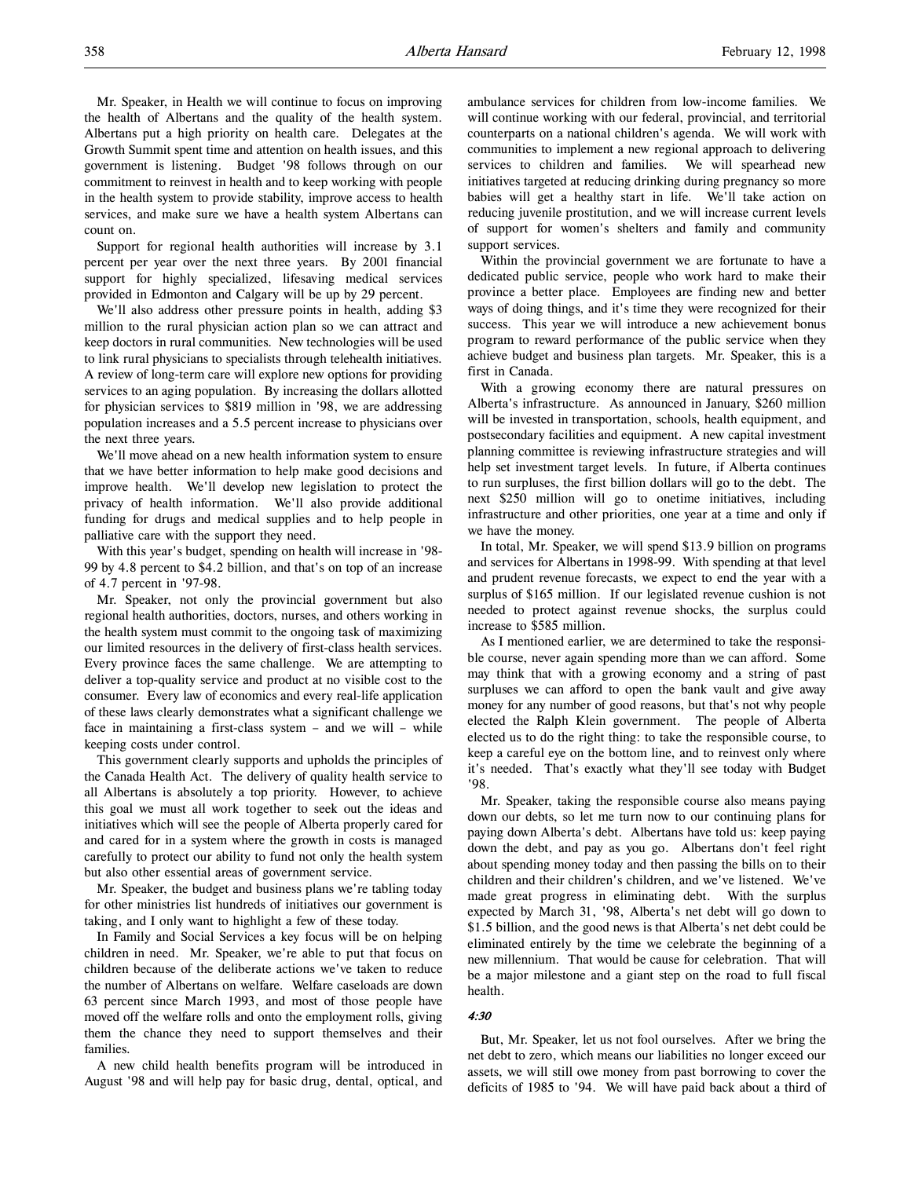Mr. Speaker, in Health we will continue to focus on improving the health of Albertans and the quality of the health system. Albertans put a high priority on health care. Delegates at the Growth Summit spent time and attention on health issues, and this government is listening. Budget '98 follows through on our commitment to reinvest in health and to keep working with people in the health system to provide stability, improve access to health services, and make sure we have a health system Albertans can count on.

Support for regional health authorities will increase by 3.1 percent per year over the next three years. By 2001 financial support for highly specialized, lifesaving medical services provided in Edmonton and Calgary will be up by 29 percent.

We'll also address other pressure points in health, adding \$3 million to the rural physician action plan so we can attract and keep doctors in rural communities. New technologies will be used to link rural physicians to specialists through telehealth initiatives. A review of long-term care will explore new options for providing services to an aging population. By increasing the dollars allotted for physician services to \$819 million in '98, we are addressing population increases and a 5.5 percent increase to physicians over the next three years.

We'll move ahead on a new health information system to ensure that we have better information to help make good decisions and improve health. We'll develop new legislation to protect the privacy of health information. We'll also provide additional funding for drugs and medical supplies and to help people in palliative care with the support they need.

With this year's budget, spending on health will increase in '98- 99 by 4.8 percent to \$4.2 billion, and that's on top of an increase of 4.7 percent in '97-98.

Mr. Speaker, not only the provincial government but also regional health authorities, doctors, nurses, and others working in the health system must commit to the ongoing task of maximizing our limited resources in the delivery of first-class health services. Every province faces the same challenge. We are attempting to deliver a top-quality service and product at no visible cost to the consumer. Every law of economics and every real-life application of these laws clearly demonstrates what a significant challenge we face in maintaining a first-class system – and we will – while keeping costs under control.

This government clearly supports and upholds the principles of the Canada Health Act. The delivery of quality health service to all Albertans is absolutely a top priority. However, to achieve this goal we must all work together to seek out the ideas and initiatives which will see the people of Alberta properly cared for and cared for in a system where the growth in costs is managed carefully to protect our ability to fund not only the health system but also other essential areas of government service.

Mr. Speaker, the budget and business plans we're tabling today for other ministries list hundreds of initiatives our government is taking, and I only want to highlight a few of these today.

In Family and Social Services a key focus will be on helping children in need. Mr. Speaker, we're able to put that focus on children because of the deliberate actions we've taken to reduce the number of Albertans on welfare. Welfare caseloads are down 63 percent since March 1993, and most of those people have moved off the welfare rolls and onto the employment rolls, giving them the chance they need to support themselves and their families.

A new child health benefits program will be introduced in August '98 and will help pay for basic drug, dental, optical, and ambulance services for children from low-income families. We will continue working with our federal, provincial, and territorial counterparts on a national children's agenda. We will work with communities to implement a new regional approach to delivering services to children and families. We will spearhead new initiatives targeted at reducing drinking during pregnancy so more babies will get a healthy start in life. We'll take action on reducing juvenile prostitution, and we will increase current levels of support for women's shelters and family and community support services.

Within the provincial government we are fortunate to have a dedicated public service, people who work hard to make their province a better place. Employees are finding new and better ways of doing things, and it's time they were recognized for their success. This year we will introduce a new achievement bonus program to reward performance of the public service when they achieve budget and business plan targets. Mr. Speaker, this is a first in Canada.

With a growing economy there are natural pressures on Alberta's infrastructure. As announced in January, \$260 million will be invested in transportation, schools, health equipment, and postsecondary facilities and equipment. A new capital investment planning committee is reviewing infrastructure strategies and will help set investment target levels. In future, if Alberta continues to run surpluses, the first billion dollars will go to the debt. The next \$250 million will go to onetime initiatives, including infrastructure and other priorities, one year at a time and only if we have the money.

In total, Mr. Speaker, we will spend \$13.9 billion on programs and services for Albertans in 1998-99. With spending at that level and prudent revenue forecasts, we expect to end the year with a surplus of \$165 million. If our legislated revenue cushion is not needed to protect against revenue shocks, the surplus could increase to \$585 million.

As I mentioned earlier, we are determined to take the responsible course, never again spending more than we can afford. Some may think that with a growing economy and a string of past surpluses we can afford to open the bank vault and give away money for any number of good reasons, but that's not why people elected the Ralph Klein government. The people of Alberta elected us to do the right thing: to take the responsible course, to keep a careful eye on the bottom line, and to reinvest only where it's needed. That's exactly what they'll see today with Budget '98.

Mr. Speaker, taking the responsible course also means paying down our debts, so let me turn now to our continuing plans for paying down Alberta's debt. Albertans have told us: keep paying down the debt, and pay as you go. Albertans don't feel right about spending money today and then passing the bills on to their children and their children's children, and we've listened. We've made great progress in eliminating debt. With the surplus expected by March 31, '98, Alberta's net debt will go down to \$1.5 billion, and the good news is that Alberta's net debt could be eliminated entirely by the time we celebrate the beginning of a new millennium. That would be cause for celebration. That will be a major milestone and a giant step on the road to full fiscal health.

#### 4:30

But, Mr. Speaker, let us not fool ourselves. After we bring the net debt to zero, which means our liabilities no longer exceed our assets, we will still owe money from past borrowing to cover the deficits of 1985 to '94. We will have paid back about a third of